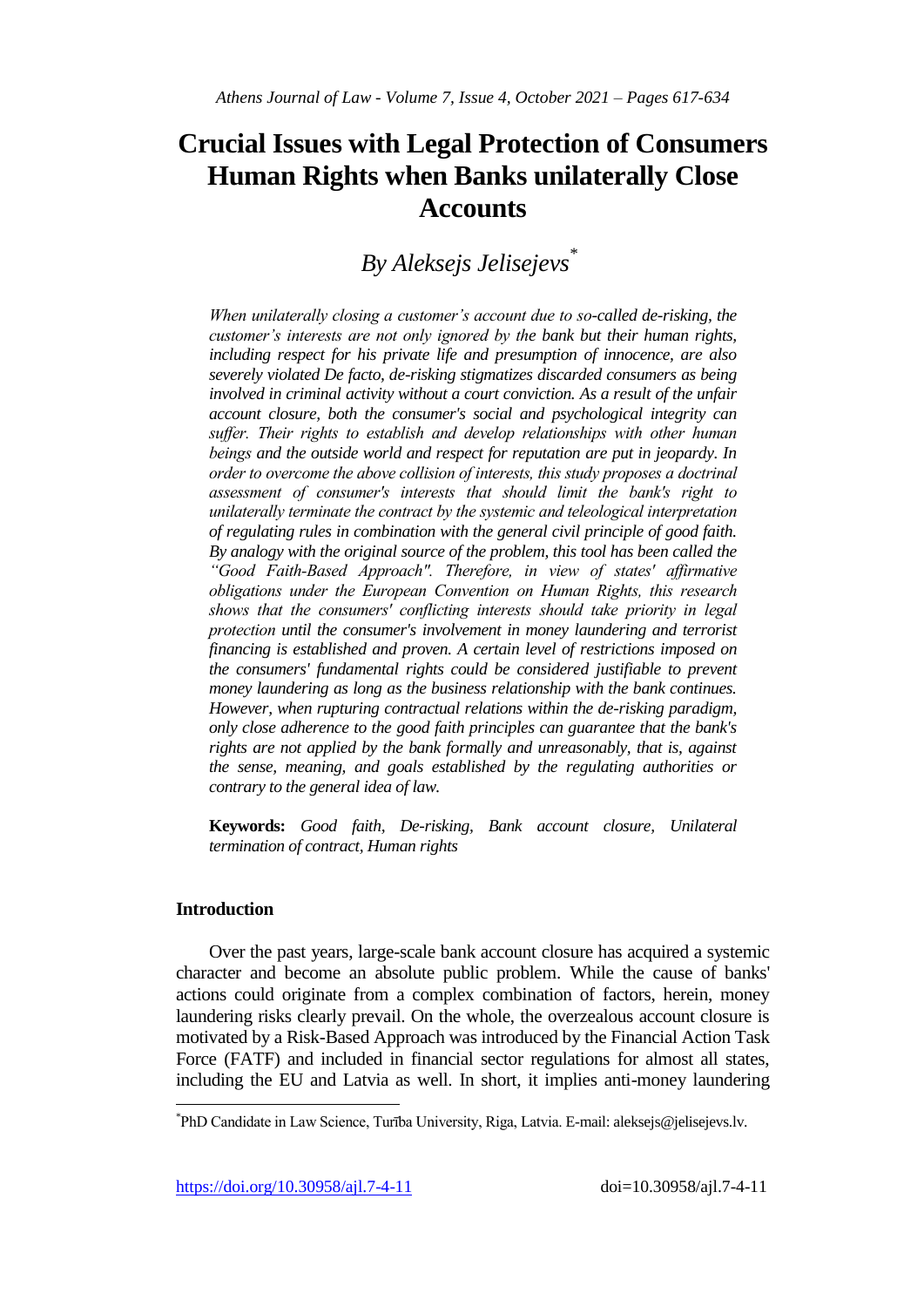# **Crucial Issues with Legal Protection of Consumers Human Rights when Banks unilaterally Close Accounts**

*By Aleksejs Jelisejevs\**

*When unilaterally closing a customer's account due to so-called de-risking, the customer's interests are not only ignored by the bank but their human rights, including respect for his private life and presumption of innocence, are also severely violated De facto, de-risking stigmatizes discarded consumers as being involved in criminal activity without a court conviction. As a result of the unfair account closure, both the consumer's social and psychological integrity can suffer. Their rights to establish and develop relationships with other human beings and the outside world and respect for reputation are put in jeopardy. In order to overcome the above collision of interests, this study proposes a doctrinal assessment of consumer's interests that should limit the bank's right to unilaterally terminate the contract by the systemic and teleological interpretation of regulating rules in combination with the general civil principle of good faith. By analogy with the original source of the problem, this tool has been called the "Good Faith-Based Approach". Therefore, in view of states' affirmative obligations under the European Convention on Human Rights, this research shows that the consumers' conflicting interests should take priority in legal protection until the consumer's involvement in money laundering and terrorist financing is established and proven. A certain level of restrictions imposed on the consumers' fundamental rights could be considered justifiable to prevent money laundering as long as the business relationship with the bank continues. However, when rupturing contractual relations within the de-risking paradigm, only close adherence to the good faith principles can guarantee that the bank's rights are not applied by the bank formally and unreasonably, that is, against the sense, meaning, and goals established by the regulating authorities or contrary to the general idea of law.*

**Keywords:** *Good faith, De-risking, Bank account closure, Unilateral termination of contract, Human rights*

# **Introduction**

 $\overline{a}$ 

Over the past years, large-scale bank account closure has acquired a systemic character and become an absolute public problem. While the cause of banks' actions could originate from a complex combination of factors, herein, money laundering risks clearly prevail. On the whole, the overzealous account closure is motivated by a Risk-Based Approach was introduced by the Financial Action Task Force (FATF) and included in financial sector regulations for almost all states, including the EU and Latvia as well. In short, it implies anti-money laundering

<sup>\*</sup> PhD Candidate in Law Science, Turība University, Riga, Latvia. E-mail: aleksejs@jelisejevs.lv.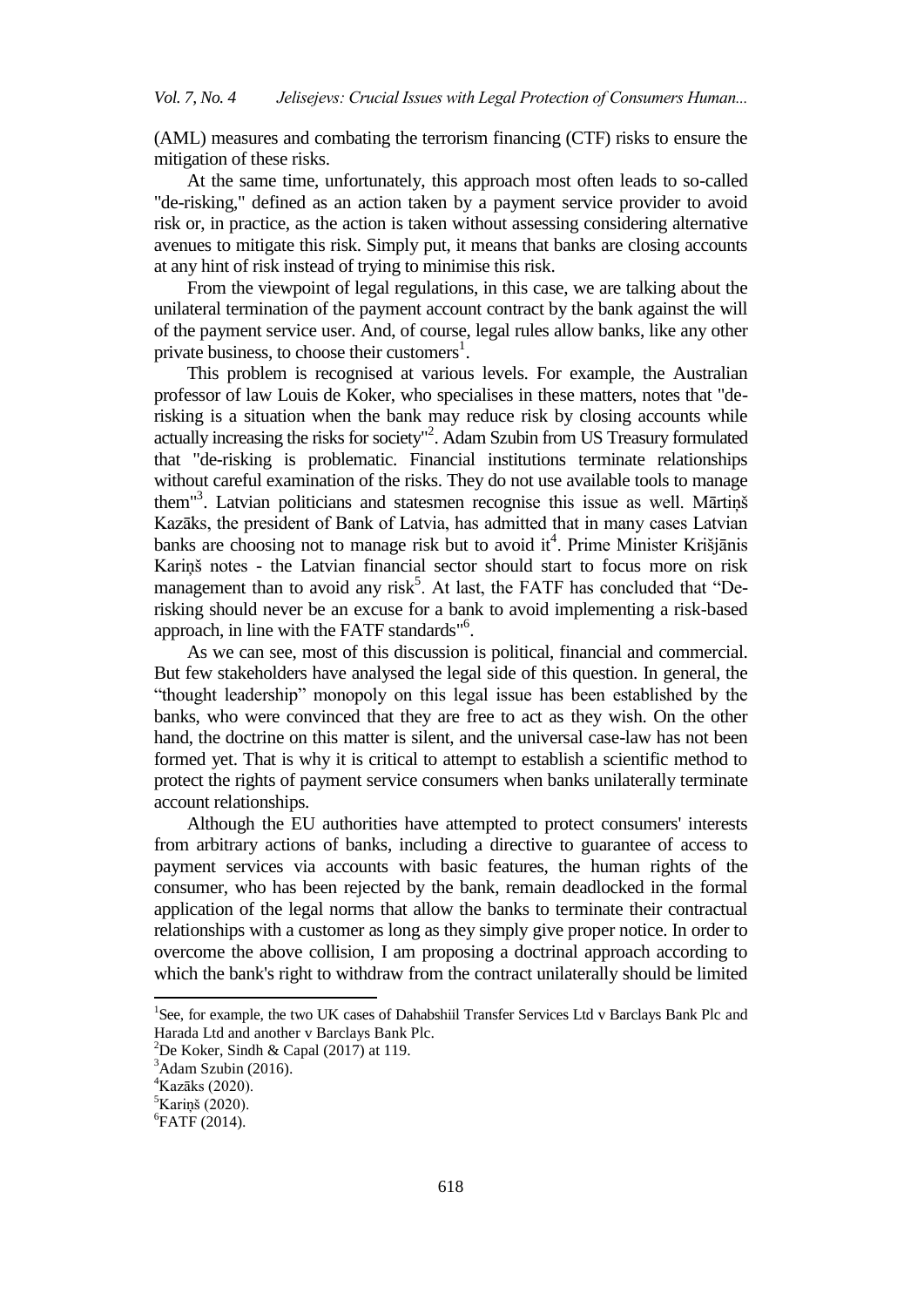(AML) measures and combating the terrorism financing (CTF) risks to ensure the mitigation of these risks.

At the same time, unfortunately, this approach most often leads to so-called "de-risking," defined as an action taken by a payment service provider to avoid risk or, in practice, as the action is taken without assessing considering alternative avenues to mitigate this risk. Simply put, it means that banks are closing accounts at any hint of risk instead of trying to minimise this risk.

From the viewpoint of legal regulations, in this case, we are talking about the unilateral termination of the payment account contract by the bank against the will of the payment service user. And, of course, legal rules allow banks, like any other private business, to choose their customers<sup>1</sup>.

This problem is recognised at various levels. For example, the Australian professor of law Louis de Koker, who specialises in these matters, notes that "derisking is a situation when the bank may reduce risk by closing accounts while actually increasing the risks for society"<sup>2</sup>. Adam Szubin from US Treasury formulated that "de-risking is problematic. Financial institutions terminate relationships without careful examination of the risks. They do not use available tools to manage them"<sup>3</sup> . Latvian politicians and statesmen recognise this issue as well. Mārtiņš Kazāks, the president of Bank of Latvia, has admitted that in many cases Latvian banks are choosing not to manage risk but to avoid it<sup>4</sup>. Prime Minister Krišjānis Kariņš notes - the Latvian financial sector should start to focus more on risk management than to avoid any risk<sup>5</sup>. At last, the FATF has concluded that "Derisking should never be an excuse for a bank to avoid implementing a risk-based approach, in line with the FATF standards"<sup>6</sup>.

As we can see, most of this discussion is political, financial and commercial. But few stakeholders have analysed the legal side of this question. In general, the "thought leadership" monopoly on this legal issue has been established by the banks, who were convinced that they are free to act as they wish. On the other hand, the doctrine on this matter is silent, and the universal case-law has not been formed yet. That is why it is critical to attempt to establish a scientific method to protect the rights of payment service consumers when banks unilaterally terminate account relationships.

Although the EU authorities have attempted to protect consumers' interests from arbitrary actions of banks, including a directive to guarantee of access to payment services via accounts with basic features, the human rights of the consumer, who has been rejected by the bank, remain deadlocked in the formal application of the legal norms that allow the banks to terminate their contractual relationships with a customer as long as they simply give proper notice. In order to overcome the above collision, I am proposing a doctrinal approach according to which the bank's right to withdraw from the contract unilaterally should be limited

1

<sup>&</sup>lt;sup>1</sup>See, for example, the two UK cases of Dahabshiil Transfer Services Ltd v Barclays Bank Plc and Harada Ltd and another v Barclays Bank Plc.

<sup>&</sup>lt;sup>2</sup>De Koker, Sindh & Capal (2017) at 119.

 $3$ Adam Szubin (2016).

 $4$ Kazāks (2020).

 ${}^5$ Kariņš (2020).

<sup>6</sup> FATF (2014).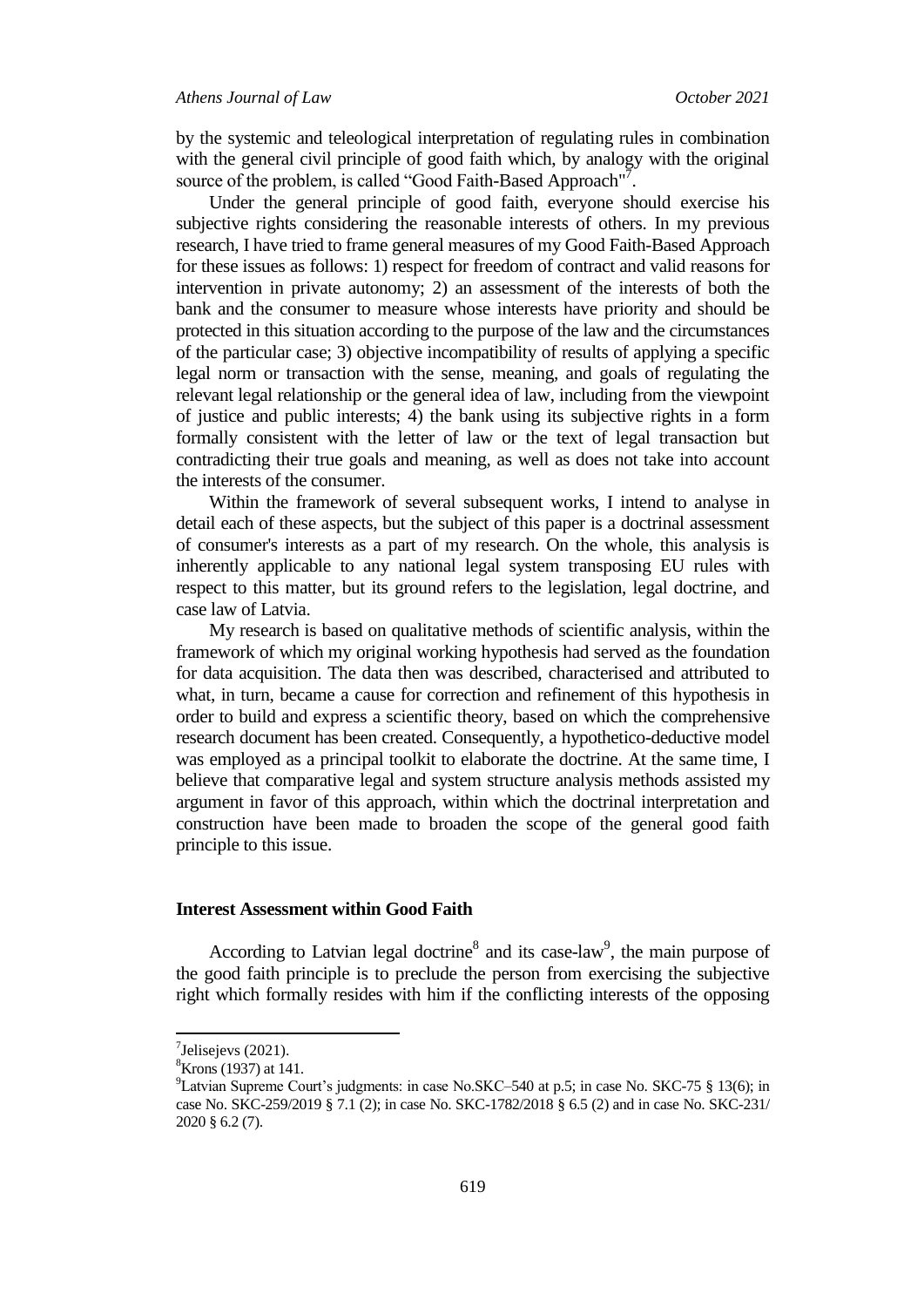by the systemic and teleological interpretation of regulating rules in combination with the general civil principle of good faith which, by analogy with the original source of the problem, is called "Good Faith-Based Approach"<sup>7</sup>.

Under the general principle of good faith, everyone should exercise his subjective rights considering the reasonable interests of others. In my previous research, I have tried to frame general measures of my Good Faith-Based Approach for these issues as follows: 1) respect for freedom of contract and valid reasons for intervention in private autonomy; 2) an assessment of the interests of both the bank and the consumer to measure whose interests have priority and should be protected in this situation according to the purpose of the law and the circumstances of the particular case; 3) objective incompatibility of results of applying a specific legal norm or transaction with the sense, meaning, and goals of regulating the relevant legal relationship or the general idea of law, including from the viewpoint of justice and public interests; 4) the bank using its subjective rights in a form formally consistent with the letter of law or the text of legal transaction but contradicting their true goals and meaning, as well as does not take into account the interests of the consumer.

Within the framework of several subsequent works, I intend to analyse in detail each of these aspects, but the subject of this paper is a doctrinal assessment of consumer's interests as a part of my research. On the whole, this analysis is inherently applicable to any national legal system transposing EU rules with respect to this matter, but its ground refers to the legislation, legal doctrine, and case law of Latvia.

My research is based on qualitative methods of scientific analysis, within the framework of which my original working hypothesis had served as the foundation for data acquisition. The data then was described, characterised and attributed to what, in turn, became a cause for correction and refinement of this hypothesis in order to build and express a scientific theory, based on which the comprehensive research document has been created. Consequently, a hypothetico-deductive model was employed as a principal toolkit to elaborate the doctrine. At the same time, I believe that comparative legal and system structure analysis methods assisted my argument in favor of this approach, within which the doctrinal interpretation and construction have been made to broaden the scope of the general good faith principle to this issue.

# **Interest Assessment within Good Faith**

According to Latvian legal doctrine<sup>8</sup> and its case-law<sup>9</sup>, the main purpose of the good faith principle is to preclude the person from exercising the subjective right which formally resides with him if the conflicting interests of the opposing

 $7$ Jelisejevs (2021).

 ${}^{8}$ Krons (1937) at 141.

<sup>&</sup>lt;sup>9</sup>Latvian Supreme Court's judgments: in case No.SKC–540 at p.5; in case No. SKC-75  $\S$  13(6); in case No. SKC-259/2019 § 7.1 (2); in case No. SKC-1782/2018 § 6.5 (2) and in case No. SKC-231/ 2020 § 6.2 (7).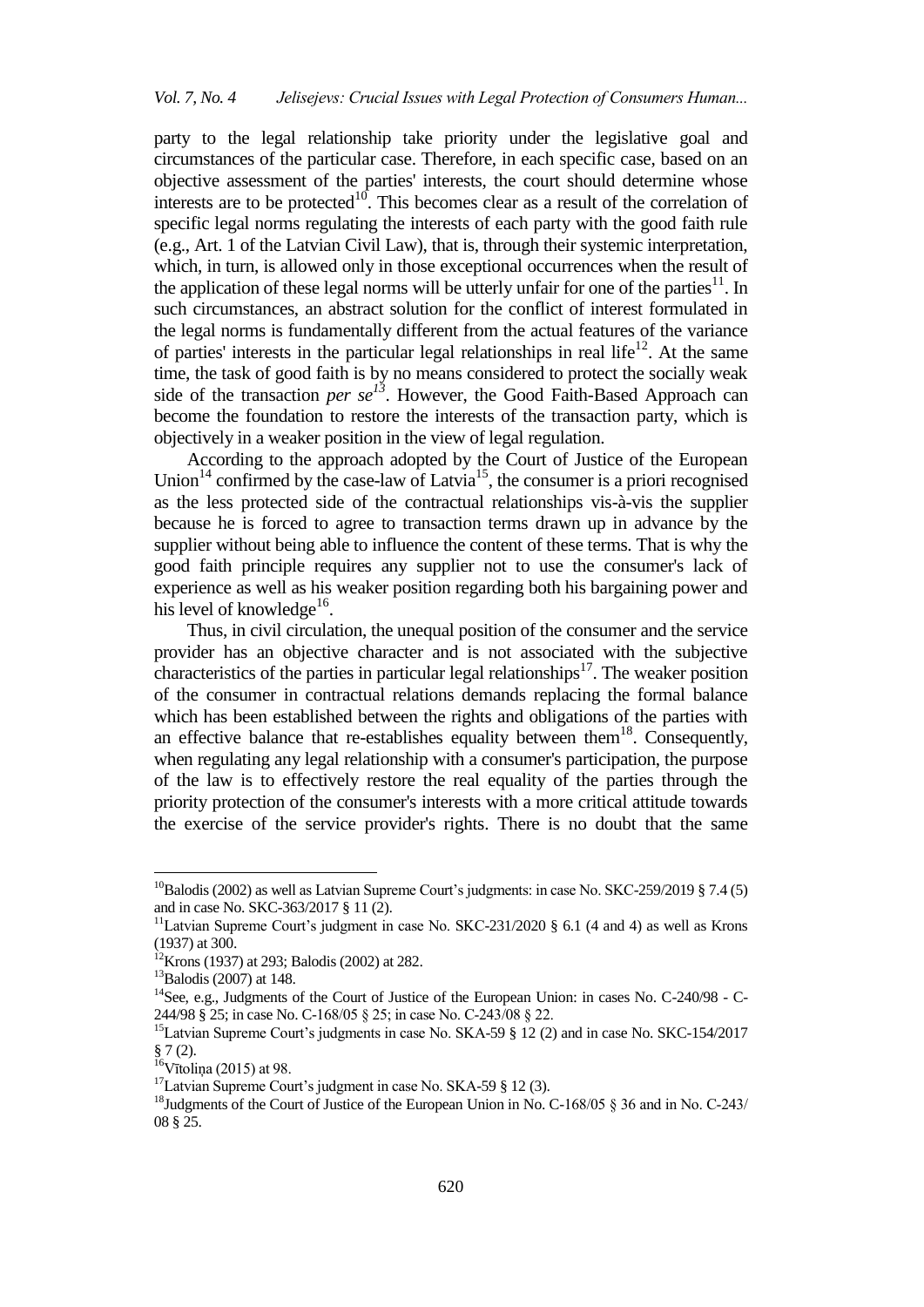party to the legal relationship take priority under the legislative goal and circumstances of the particular case. Therefore, in each specific case, based on an objective assessment of the parties' interests, the court should determine whose interests are to be protected<sup>10</sup>. This becomes clear as a result of the correlation of specific legal norms regulating the interests of each party with the good faith rule (e.g., Art. 1 of the Latvian Civil Law), that is, through their systemic interpretation, which, in turn, is allowed only in those exceptional occurrences when the result of the application of these legal norms will be utterly unfair for one of the parties<sup>11</sup>. In such circumstances, an abstract solution for the conflict of interest formulated in the legal norms is fundamentally different from the actual features of the variance of parties' interests in the particular legal relationships in real life<sup>12</sup>. At the same time, the task of good faith is by no means considered to protect the socially weak side of the transaction *per se*<sup> $13$ </sup>. However, the Good Faith-Based Approach can become the foundation to restore the interests of the transaction party, which is objectively in a weaker position in the view of legal regulation.

According to the approach adopted by the Court of Justice of the European Union<sup>14</sup> confirmed by the case-law of Latvia<sup>15</sup>, the consumer is a priori recognised as the less protected side of the contractual relationships vis-à-vis the supplier because he is forced to agree to transaction terms drawn up in advance by the supplier without being able to influence the content of these terms. That is why the good faith principle requires any supplier not to use the consumer's lack of experience as well as his weaker position regarding both his bargaining power and his level of knowledge<sup>16</sup>.

Thus, in civil circulation, the unequal position of the consumer and the service provider has an objective character and is not associated with the subjective characteristics of the parties in particular legal relationships<sup>17</sup>. The weaker position of the consumer in contractual relations demands replacing the formal balance which has been established between the rights and obligations of the parties with an effective balance that re-establishes equality between them<sup>18</sup>. Consequently, when regulating any legal relationship with a consumer's participation, the purpose of the law is to effectively restore the real equality of the parties through the priority protection of the consumer's interests with a more critical attitude towards the exercise of the service provider's rights. There is no doubt that the same

 $^{10}$ Balodis (2002) as well as Latvian Supreme Court's judgments: in case No. SKC-259/2019 § 7.4 (5) and in case No. SKC-363/2017 § 11 (2).

<sup>&</sup>lt;sup>11</sup>Latvian Supreme Court's judgment in case No. SKC-231/2020  $\S$  6.1 (4 and 4) as well as Krons (1937) at 300.

<sup>12</sup>Krons (1937) at 293; Balodis (2002) at 282.

 $13B$ alodis (2007) at 148.

<sup>&</sup>lt;sup>14</sup> See, e.g., Judgments of the Court of Justice of the European Union: in cases No. C-240/98 - C-244/98 § 25; in case No. C-168/05 § 25; in case No. C‑243/08 § 22.

<sup>&</sup>lt;sup>15</sup>Latvian Supreme Court's judgments in case No. SKA-59 § 12 (2) and in case No. SKC-154/2017  $§ 7(2).$ 

 $16V$ ītoliņa (2015) at 98.

 $17$ Latvian Supreme Court's judgment in case No. SKA-59 § 12 (3).

<sup>&</sup>lt;sup>18</sup>Judgments of the Court of Justice of the European Union in No. C-168/05 § 36 and in No. C-243/ 08 § 25.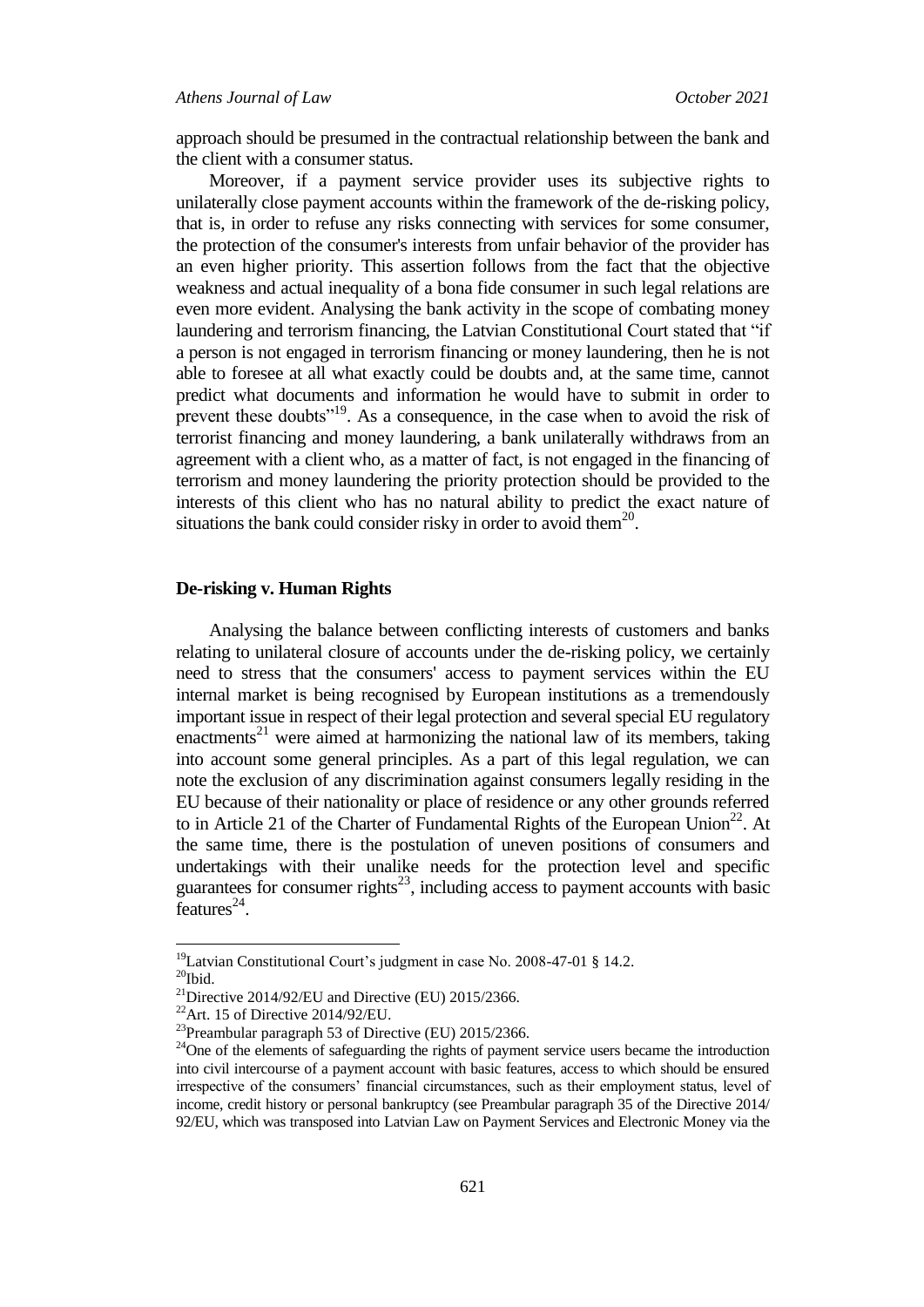# *Athens Journal of Law October 2021*

approach should be presumed in the contractual relationship between the bank and the client with a consumer status.

Moreover, if a payment service provider uses its subjective rights to unilaterally close payment accounts within the framework of the de-risking policy, that is, in order to refuse any risks connecting with services for some consumer, the protection of the consumer's interests from unfair behavior of the provider has an even higher priority. This assertion follows from the fact that the objective weakness and actual inequality of a bona fide consumer in such legal relations are even more evident. Analysing the bank activity in the scope of combating money laundering and terrorism financing, the Latvian Constitutional Court stated that "if a person is not engaged in terrorism financing or money laundering, then he is not able to foresee at all what exactly could be doubts and, at the same time, cannot predict what documents and information he would have to submit in order to prevent these doubts<sup>"19</sup>. As a consequence, in the case when to avoid the risk of terrorist financing and money laundering, a bank unilaterally withdraws from an agreement with a client who, as a matter of fact, is not engaged in the financing of terrorism and money laundering the priority protection should be provided to the interests of this client who has no natural ability to predict the exact nature of situations the bank could consider risky in order to avoid them $^{20}$ .

# **De-risking v. Human Rights**

Analysing the balance between conflicting interests of customers and banks relating to unilateral closure of accounts under the de-risking policy, we certainly need to stress that the consumers' access to payment services within the EU internal market is being recognised by European institutions as a tremendously important issue in respect of their legal protection and several special EU regulatory enactments<sup>21</sup> were aimed at harmonizing the national law of its members, taking into account some general principles. As a part of this legal regulation, we can note the exclusion of any discrimination against consumers legally residing in the EU because of their nationality or place of residence or any other grounds referred to in Article 21 of the Charter of Fundamental Rights of the European Union<sup>22</sup>. At the same time, there is the postulation of uneven positions of consumers and undertakings with their unalike needs for the protection level and specific guarantees for consumer rights<sup>23</sup>, including access to payment accounts with basic  $\text{features}^{24}$ .

 $\overline{a}$  $19$ Latvian Constitutional Court's judgment in case No. 2008-47-01 § 14.2.  $20$ Ibid.

<sup>&</sup>lt;sup>21</sup>Directive 2014/92/EU and Directive (EU) 2015/2366.

 $22$ Art. 15 of Directive 2014/92/EU.

<sup>23</sup>Preambular paragraph 53 of Directive (EU) 2015/2366.

<sup>&</sup>lt;sup>24</sup>One of the elements of safeguarding the rights of payment service users became the introduction into civil intercourse of a payment account with basic features, access to which should be ensured irrespective of the consumers" financial circumstances, such as their employment status, level of income, credit history or personal bankruptcy (see Preambular paragraph 35 of the Directive 2014/ 92/EU, which was transposed into Latvian Law on Payment Services and Electronic Money via the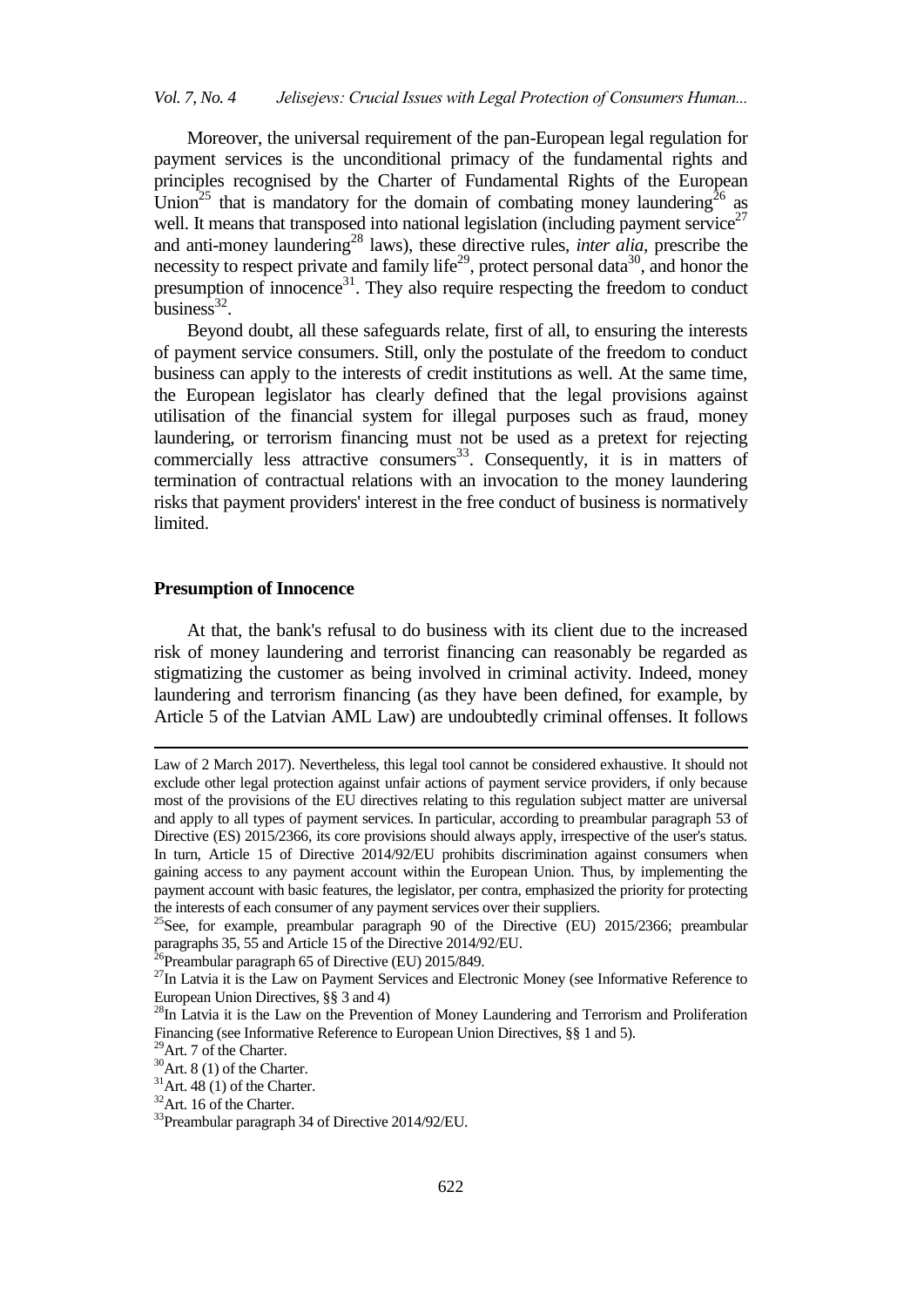Moreover, the universal requirement of the pan-European legal regulation for payment services is the unconditional primacy of the fundamental rights and principles recognised by the Charter of Fundamental Rights of the European Union<sup>25</sup> that is mandatory for the domain of combating money laundering<sup>26</sup> as well. It means that transposed into national legislation (including payment service $^{27}$ and anti-money laundering<sup>28</sup> laws), these directive rules, *inter alia*, prescribe the necessity to respect private and family life<sup>29</sup>, protect personal data<sup>30</sup>, and honor the presumption of innocence<sup>31</sup>. They also require respecting the freedom to conduct business<sup>32</sup>.

Beyond doubt, all these safeguards relate, first of all, to ensuring the interests of payment service consumers. Still, only the postulate of the freedom to conduct business can apply to the interests of credit institutions as well. At the same time, the European legislator has clearly defined that the legal provisions against utilisation of the financial system for illegal purposes such as fraud, money laundering, or terrorism financing must not be used as a pretext for rejecting commercially less attractive consumers<sup>33</sup>. Consequently, it is in matters of termination of contractual relations with an invocation to the money laundering risks that payment providers' interest in the free conduct of business is normatively limited.

# **Presumption of Innocence**

At that, the bank's refusal to do business with its client due to the increased risk of money laundering and terrorist financing can reasonably be regarded as stigmatizing the customer as being involved in criminal activity. Indeed, money laundering and terrorism financing (as they have been defined, for example, by Article 5 of the Latvian AML Law) are undoubtedly criminal offenses. It follows

-

Law of 2 March 2017). Nevertheless, this legal tool cannot be considered exhaustive. It should not exclude other legal protection against unfair actions of payment service providers, if only because most of the provisions of the EU directives relating to this regulation subject matter are universal and apply to all types of payment services. In particular, according to preambular paragraph 53 of Directive (ES) 2015/2366, its core provisions should always apply, irrespective of the user's status. In turn, Article 15 of Directive 2014/92/EU prohibits discrimination against consumers when gaining access to any payment account within the European Union. Thus, by implementing the payment account with basic features, the legislator, per contra, emphasized the priority for protecting the interests of each consumer of any payment services over their suppliers.

<sup>&</sup>lt;sup>25</sup>See, for example, preambular paragraph 90 of the Directive (EU)  $2015/2366$ ; preambular paragraphs  $35, 55$  and Article 15 of the Directive 2014/92/EU.

<sup>&</sup>lt;sup>26</sup>Preambular paragraph 65 of Directive (EU) 2015/849.

<sup>&</sup>lt;sup>27</sup>In Latvia it is the Law on Payment Services and Electronic Money (see Informative Reference to European Union Directives, §§ 3 and 4)

<sup>&</sup>lt;sup>28</sup>In Latvia it is the Law on the Prevention of Money Laundering and Terrorism and Proliferation Financing (see Informative Reference to European Union Directives, §§ 1 and 5).

<sup>&</sup>lt;sup>29</sup>Art. 7 of the Charter.

 $30$ Art. 8 (1) of the Charter.

 $31$ Art. 48 (1) of the Charter.

 $32$ Art. 16 of the Charter.

<sup>33</sup>Preambular paragraph 34 of Directive 2014/92/EU.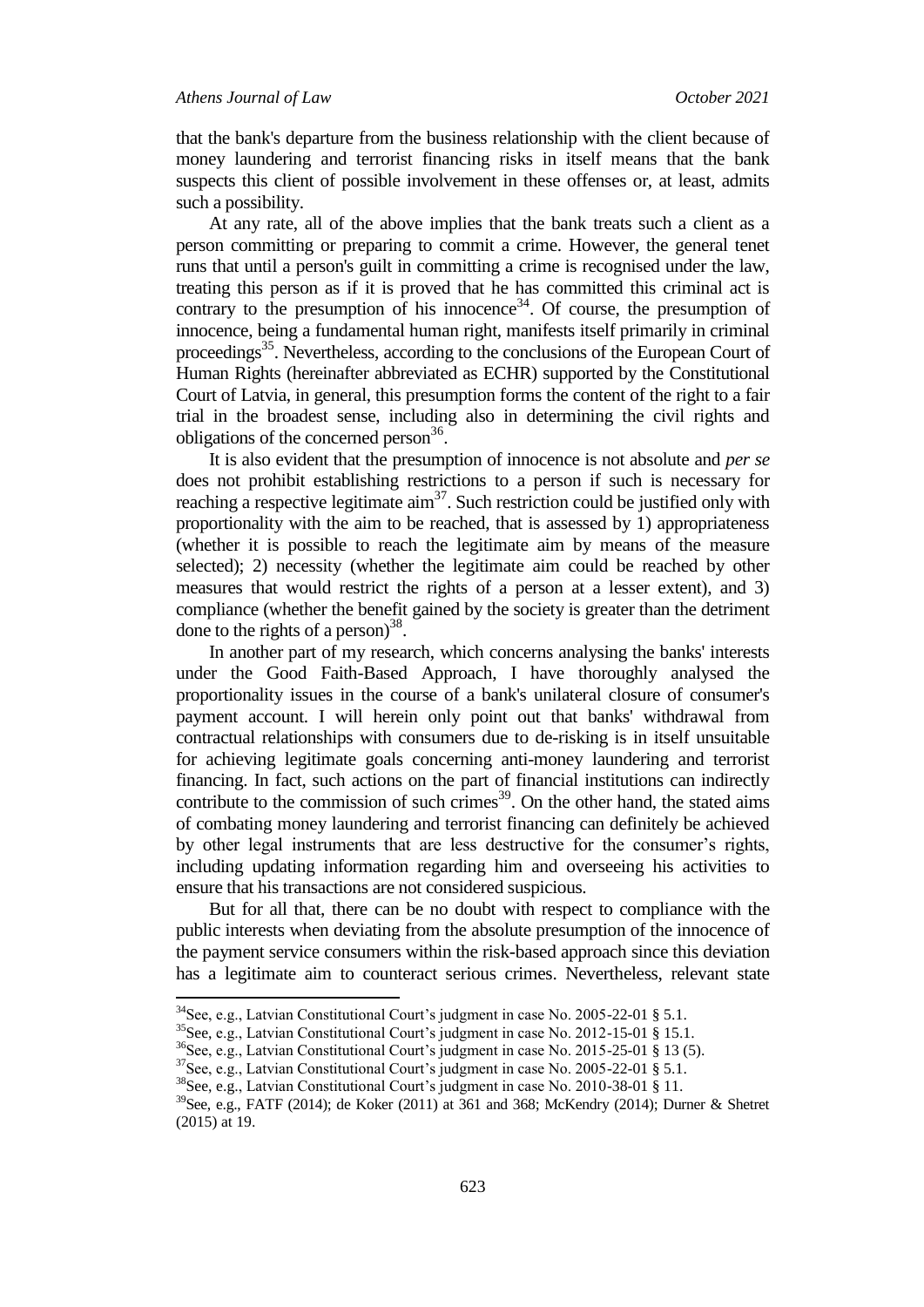$\overline{a}$ 

that the bank's departure from the business relationship with the client because of money laundering and terrorist financing risks in itself means that the bank suspects this client of possible involvement in these offenses or, at least, admits such a possibility.

At any rate, all of the above implies that the bank treats such a client as a person committing or preparing to commit a crime. However, the general tenet runs that until a person's guilt in committing a crime is recognised under the law, treating this person as if it is proved that he has committed this criminal act is contrary to the presumption of his innocence<sup>34</sup>. Of course, the presumption of innocence, being a fundamental human right, manifests itself primarily in criminal proceedings<sup>35</sup>. Nevertheless, according to the conclusions of the European Court of Human Rights (hereinafter abbreviated as ECHR) supported by the Constitutional Court of Latvia, in general, this presumption forms the content of the right to a fair trial in the broadest sense, including also in determining the civil rights and obligations of the concerned person<sup>36</sup>.

It is also evident that the presumption of innocence is not absolute and *per se* does not prohibit establishing restrictions to a person if such is necessary for reaching a respective legitimate  $\dim^{37}$ . Such restriction could be justified only with proportionality with the aim to be reached, that is assessed by 1) appropriateness (whether it is possible to reach the legitimate aim by means of the measure selected); 2) necessity (whether the legitimate aim could be reached by other measures that would restrict the rights of a person at a lesser extent), and 3) compliance (whether the benefit gained by the society is greater than the detriment done to the rights of a person) $^{38}$ .

In another part of my research, which concerns analysing the banks' interests under the Good Faith-Based Approach, I have thoroughly analysed the proportionality issues in the course of a bank's unilateral closure of consumer's payment account. I will herein only point out that banks' withdrawal from contractual relationships with consumers due to de-risking is in itself unsuitable for achieving legitimate goals concerning anti-money laundering and terrorist financing. In fact, such actions on the part of financial institutions can indirectly contribute to the commission of such crimes<sup>39</sup>. On the other hand, the stated aims of combating money laundering and terrorist financing can definitely be achieved by other legal instruments that are less destructive for the consumer's rights, including updating information regarding him and overseeing his activities to ensure that his transactions are not considered suspicious.

But for all that, there can be no doubt with respect to compliance with the public interests when deviating from the absolute presumption of the innocence of the payment service consumers within the risk-based approach since this deviation has a legitimate aim to counteract serious crimes. Nevertheless, relevant state

 $34$ See, e.g., Latvian Constitutional Court's judgment in case No. 2005-22-01 § 5.1.

<sup>&</sup>lt;sup>35</sup>See, e.g., Latvian Constitutional Court's judgment in case No. 2012-15-01 § 15.1.

<sup>&</sup>lt;sup>36</sup>See, e.g., Latvian Constitutional Court's judgment in case No. 2015-25-01 § 13 (5).

 $37$ See, e.g., Latvian Constitutional Court's judgment in case No. 2005-22-01 § 5.1.

<sup>&</sup>lt;sup>38</sup>See, e.g., Latvian Constitutional Court's judgment in case No. 2010-38-01 § 11.

<sup>39</sup>See, e.g., FATF (2014); de Koker (2011) at 361 and 368; McKendry (2014); Durner & Shetret (2015) at 19.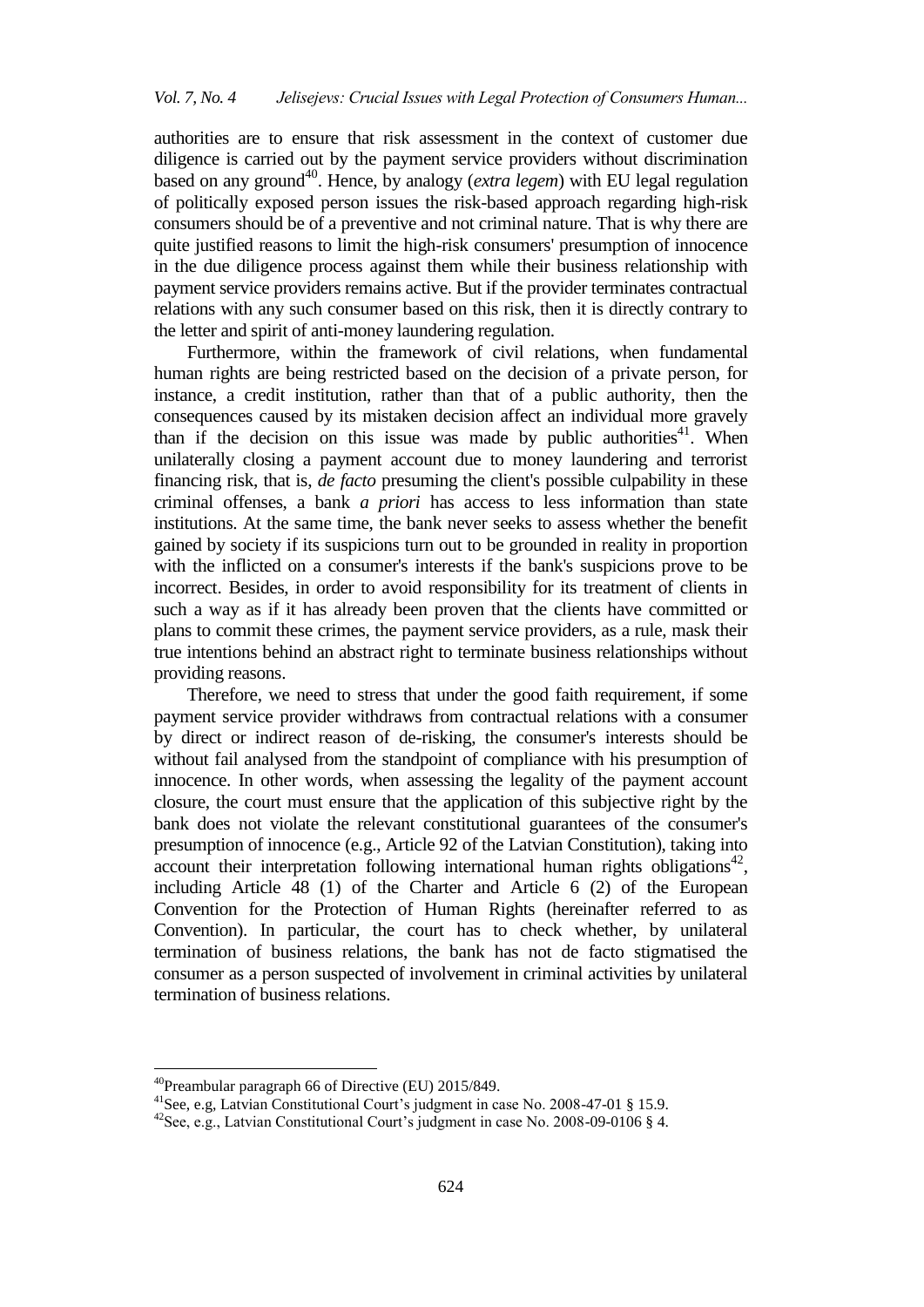authorities are to ensure that risk assessment in the context of customer due diligence is carried out by the payment service providers without discrimination based on any ground<sup>40</sup>. Hence, by analogy (*extra legem*) with EU legal regulation of politically exposed person issues the risk-based approach regarding high-risk consumers should be of a preventive and not criminal nature. That is why there are quite justified reasons to limit the high-risk consumers' presumption of innocence in the due diligence process against them while their business relationship with payment service providers remains active. But if the provider terminates contractual relations with any such consumer based on this risk, then it is directly contrary to the letter and spirit of anti-money laundering regulation.

Furthermore, within the framework of civil relations, when fundamental human rights are being restricted based on the decision of a private person, for instance, a credit institution, rather than that of a public authority, then the consequences caused by its mistaken decision affect an individual more gravely than if the decision on this issue was made by public authorities<sup>41</sup>. When unilaterally closing a payment account due to money laundering and terrorist financing risk, that is, *de facto* presuming the client's possible culpability in these criminal offenses, a bank *a priori* has access to less information than state institutions. At the same time, the bank never seeks to assess whether the benefit gained by society if its suspicions turn out to be grounded in reality in proportion with the inflicted on a consumer's interests if the bank's suspicions prove to be incorrect. Besides, in order to avoid responsibility for its treatment of clients in such a way as if it has already been proven that the clients have committed or plans to commit these crimes, the payment service providers, as a rule, mask their true intentions behind an abstract right to terminate business relationships without providing reasons.

Therefore, we need to stress that under the good faith requirement, if some payment service provider withdraws from contractual relations with a consumer by direct or indirect reason of de-risking, the consumer's interests should be without fail analysed from the standpoint of compliance with his presumption of innocence. In other words, when assessing the legality of the payment account closure, the court must ensure that the application of this subjective right by the bank does not violate the relevant constitutional guarantees of the consumer's presumption of innocence (e.g., Article 92 of the Latvian Constitution), taking into  $\alpha$  account their interpretation following international human rights obligations<sup>42</sup>, including Article 48 (1) of the Charter and Article 6 (2) of the European Convention for the Protection of Human Rights (hereinafter referred to as Convention). In particular, the court has to check whether, by unilateral termination of business relations, the bank has not de facto stigmatised the consumer as a person suspected of involvement in criminal activities by unilateral termination of business relations.

 $\ddot{\phantom{a}}$ 

 $^{40}$ Preambular paragraph 66 of Directive (EU) 2015/849.

<sup>&</sup>lt;sup>41</sup>See, e.g, Latvian Constitutional Court's judgment in case No. 2008-47-01 § 15.9.

<sup>&</sup>lt;sup>42</sup>See, e.g., Latvian Constitutional Court's judgment in case No. 2008-09-0106 § 4.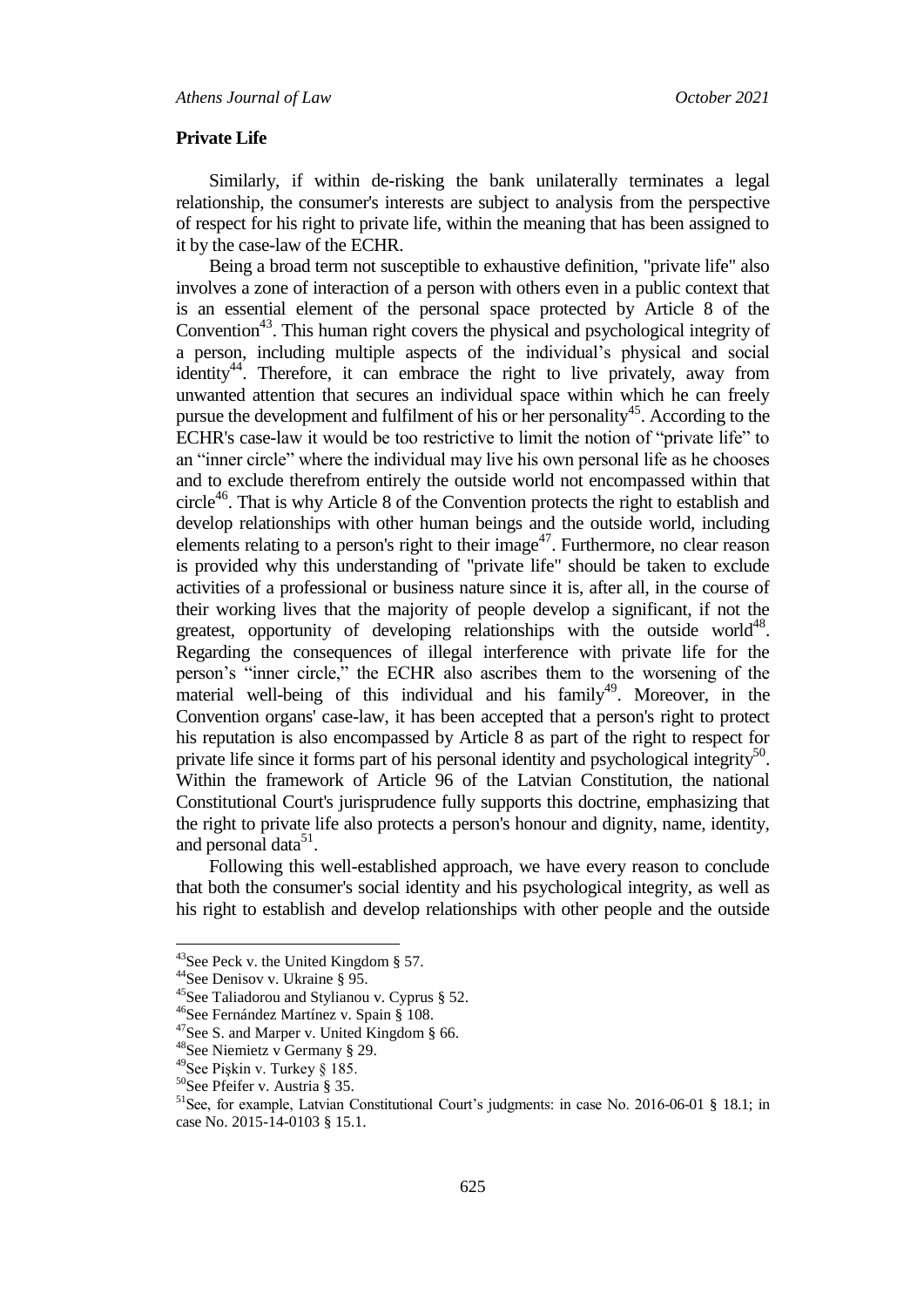#### **Private Life**

Similarly, if within de-risking the bank unilaterally terminates a legal relationship, the consumer's interests are subject to analysis from the perspective of respect for his right to private life, within the meaning that has been assigned to it by the case-law of the ECHR.

Being a broad term not susceptible to exhaustive definition, "private life" also involves a zone of interaction of a person with others even in a public context that is an essential element of the personal space protected by Article 8 of the Convention<sup>43</sup>. This human right covers the physical and psychological integrity of a person, including multiple aspects of the individual's physical and social identity<sup>44</sup>. Therefore, it can embrace the right to live privately, away from unwanted attention that secures an individual space within which he can freely pursue the development and fulfilment of his or her personality<sup>45</sup>. According to the ECHR's case-law it would be too restrictive to limit the notion of "private life" to an "inner circle" where the individual may live his own personal life as he chooses and to exclude therefrom entirely the outside world not encompassed within that circle<sup>46</sup>. That is why Article 8 of the Convention protects the right to establish and develop relationships with other human beings and the outside world, including elements relating to a person's right to their image<sup>47</sup>. Furthermore, no clear reason is provided why this understanding of "private life" should be taken to exclude activities of a professional or business nature since it is, after all, in the course of their working lives that the majority of people develop a significant, if not the greatest, opportunity of developing relationships with the outside world<sup>48</sup>. Regarding the consequences of illegal interference with private life for the person"s "inner circle," the ECHR also ascribes them to the worsening of the material well-being of this individual and his family<sup>49</sup>. Moreover, in the Convention organs' case-law, it has been accepted that a person's right to protect his reputation is also encompassed by Article 8 as part of the right to respect for private life since it forms part of his personal identity and psychological integrity<sup>50</sup>. Within the framework of Article 96 of the Latvian Constitution, the national Constitutional Court's jurisprudence fully supports this doctrine, emphasizing that the right to private life also protects a person's honour and dignity, name, identity, and personal data<sup>51</sup>.

Following this well-established approach, we have every reason to conclude that both the consumer's social identity and his psychological integrity, as well as his right to establish and develop relationships with other people and the outside

 $^{43}$ See Peck v. the United Kingdom § 57.

<sup>44</sup>See Denisov v. Ukraine § 95.

<sup>45</sup>See Taliadorou and Stylianou v. Cyprus § 52.

<sup>46</sup>See Fernández Martínez v. Spain § 108.

<sup>47</sup>See S. and Marper v. United Kingdom § 66.

<sup>48</sup>See Niemietz v Germany § 29.

<sup>49</sup>See Pişkin v. Turkey § 185.

<sup>50</sup>See Pfeifer v. Austria § 35.

<sup>&</sup>lt;sup>51</sup>See, for example, Latvian Constitutional Court's judgments: in case No. 2016-06-01 § 18.1; in case No. 2015-14-0103 § 15.1.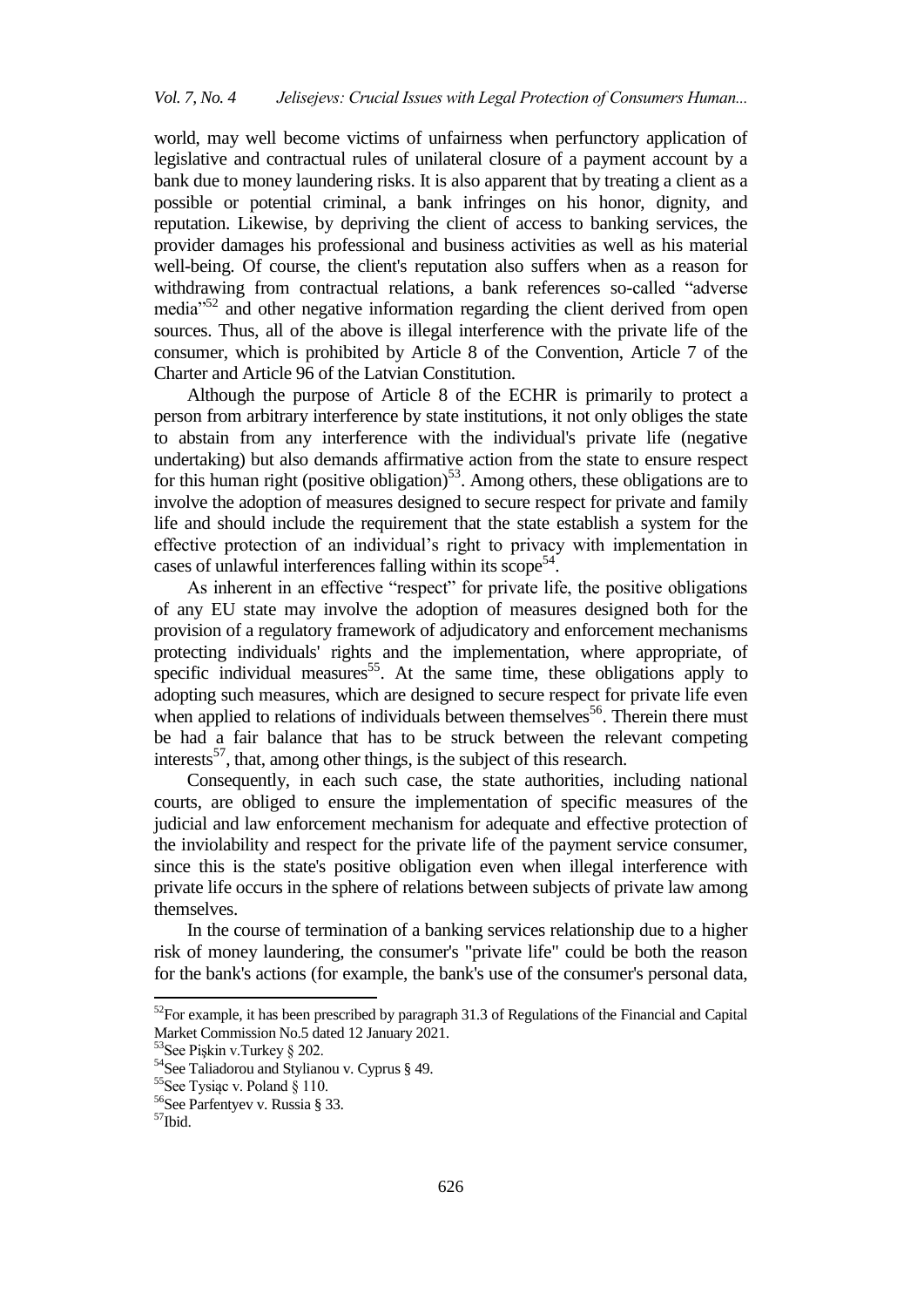world, may well become victims of unfairness when perfunctory application of legislative and contractual rules of unilateral closure of a payment account by a bank due to money laundering risks. It is also apparent that by treating a client as a possible or potential criminal, a bank infringes on his honor, dignity, and reputation. Likewise, by depriving the client of access to banking services, the provider damages his professional and business activities as well as his material well-being. Of course, the client's reputation also suffers when as a reason for withdrawing from contractual relations, a bank references so-called "adverse media $^{52}$  and other negative information regarding the client derived from open sources. Thus, all of the above is illegal interference with the private life of the consumer, which is prohibited by Article 8 of the Convention, Article 7 of the Charter and Article 96 of the Latvian Constitution.

Although the purpose of Article 8 of the ECHR is primarily to protect a person from arbitrary interference by state institutions, it not only obliges the state to abstain from any interference with the individual's private life (negative undertaking) but also demands affirmative action from the state to ensure respect for this human right (positive obligation)<sup>53</sup>. Among others, these obligations are to involve the adoption of measures designed to secure respect for private and family life and should include the requirement that the state establish a system for the effective protection of an individual"s right to privacy with implementation in cases of unlawful interferences falling within its scope<sup>54</sup>.

As inherent in an effective "respect" for private life, the positive obligations of any EU state may involve the adoption of measures designed both for the provision of a regulatory framework of adjudicatory and enforcement mechanisms protecting individuals' rights and the implementation, where appropriate, of specific individual measures<sup>55</sup>. At the same time, these obligations apply to adopting such measures, which are designed to secure respect for private life even when applied to relations of individuals between themselves<sup>56</sup>. Therein there must be had a fair balance that has to be struck between the relevant competing interests<sup>57</sup>, that, among other things, is the subject of this research.

Consequently, in each such case, the state authorities, including national courts, are obliged to ensure the implementation of specific measures of the judicial and law enforcement mechanism for adequate and effective protection of the inviolability and respect for the private life of the payment service consumer, since this is the state's positive obligation even when illegal interference with private life occurs in the sphere of relations between subjects of private law among themselves.

In the course of termination of a banking services relationship due to a higher risk of money laundering, the consumer's "private life" could be both the reason for the bank's actions (for example, the bank's use of the consumer's personal data,

1

<sup>&</sup>lt;sup>52</sup>For example, it has been prescribed by paragraph 31.3 of Regulations of the Financial and Capital Market Commission No.5 dated 12 January 2021.

<sup>53</sup>See Pişkin v.Turkey § 202.

<sup>&</sup>lt;sup>54</sup>See Taliadorou and Stylianou v. Cyprus § 49.

<sup>55</sup>See Tysiąc v. Poland § 110.

<sup>56</sup>See Parfentyev v. Russia § 33.

<sup>57</sup>Ibid.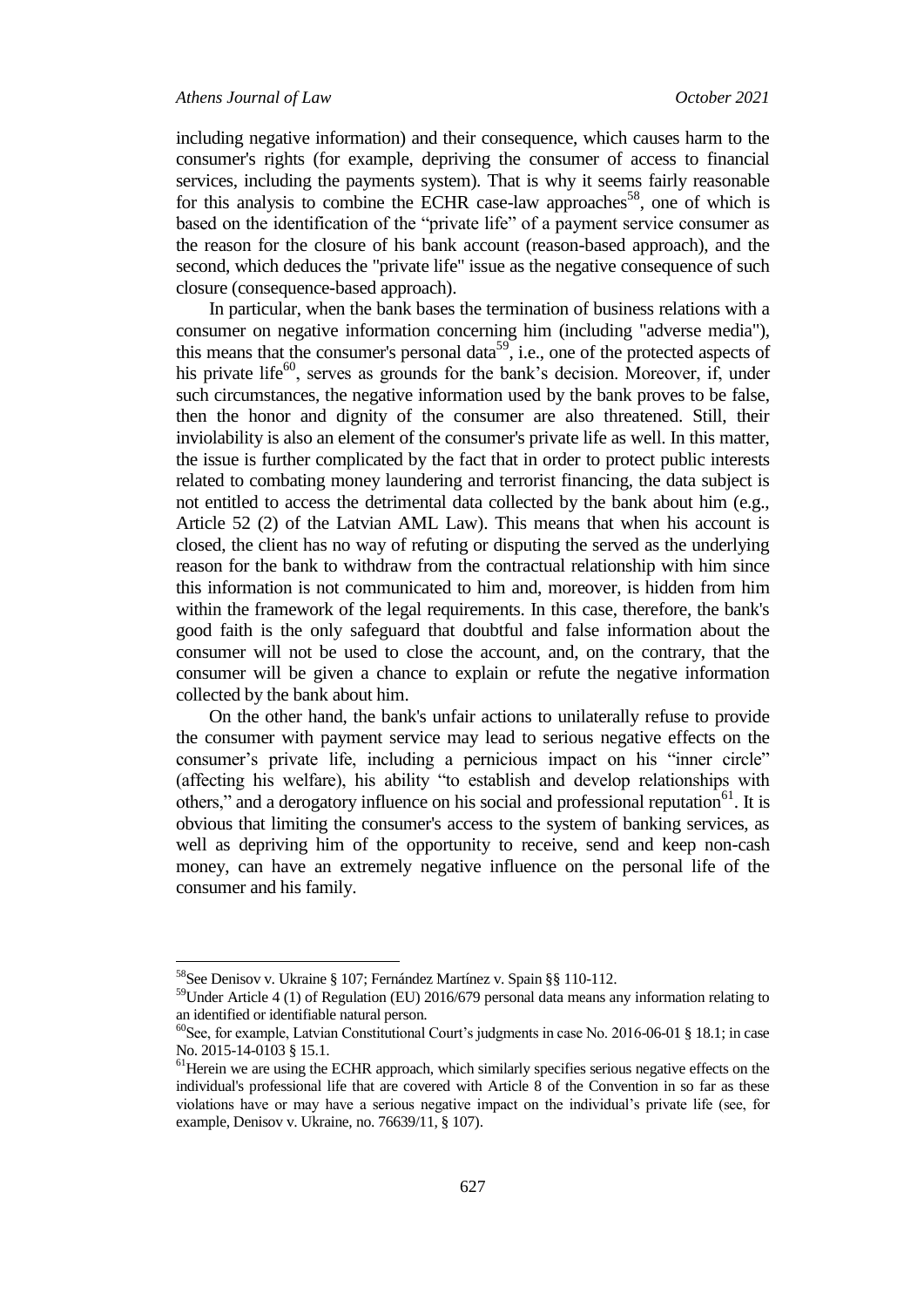including negative information) and their consequence, which causes harm to the consumer's rights (for example, depriving the consumer of access to financial services, including the payments system). That is why it seems fairly reasonable for this analysis to combine the ECHR case-law approaches<sup>58</sup>, one of which is based on the identification of the "private life" of a payment service consumer as the reason for the closure of his bank account (reason-based approach), and the second, which deduces the "private life" issue as the negative consequence of such closure (consequence-based approach).

In particular, when the bank bases the termination of business relations with a consumer on negative information concerning him (including "adverse media"), this means that the consumer's personal data<sup>59</sup>, i.e., one of the protected aspects of his private life<sup>60</sup>, serves as grounds for the bank's decision. Moreover, if, under such circumstances, the negative information used by the bank proves to be false, then the honor and dignity of the consumer are also threatened. Still, their inviolability is also an element of the consumer's private life as well. In this matter, the issue is further complicated by the fact that in order to protect public interests related to combating money laundering and terrorist financing, the data subject is not entitled to access the detrimental data collected by the bank about him (e.g., Article 52 (2) of the Latvian AML Law). This means that when his account is closed, the client has no way of refuting or disputing the served as the underlying reason for the bank to withdraw from the contractual relationship with him since this information is not communicated to him and, moreover, is hidden from him within the framework of the legal requirements. In this case, therefore, the bank's good faith is the only safeguard that doubtful and false information about the consumer will not be used to close the account, and, on the contrary, that the consumer will be given a chance to explain or refute the negative information collected by the bank about him.

On the other hand, the bank's unfair actions to unilaterally refuse to provide the consumer with payment service may lead to serious negative effects on the consumer's private life, including a pernicious impact on his "inner circle" (affecting his welfare), his ability "to establish and develop relationships with others," and a derogatory influence on his social and professional reputation<sup>61</sup>. It is obvious that limiting the consumer's access to the system of banking services, as well as depriving him of the opportunity to receive, send and keep non-cash money, can have an extremely negative influence on the personal life of the consumer and his family.

<sup>&</sup>lt;sup>58</sup>See Denisov v. Ukraine § 107; Fernández Martínez v. Spain §§ 110-112.

<sup>59</sup>Under Article 4 (1) of Regulation (EU) 2016/679 personal data means any information relating to an identified or identifiable natural person.

<sup>&</sup>lt;sup>60</sup>See, for example, Latvian Constitutional Court's judgments in case No. 2016-06-01 § 18.1; in case No. 2015-14-0103 § 15.1.

<sup>&</sup>lt;sup>61</sup>Herein we are using the ECHR approach, which similarly specifies serious negative effects on the individual's professional life that are covered with Article 8 of the Convention in so far as these violations have or may have a serious negative impact on the individual"s private life (see, for example, Denisov v. Ukraine, no. 76639/11, § 107).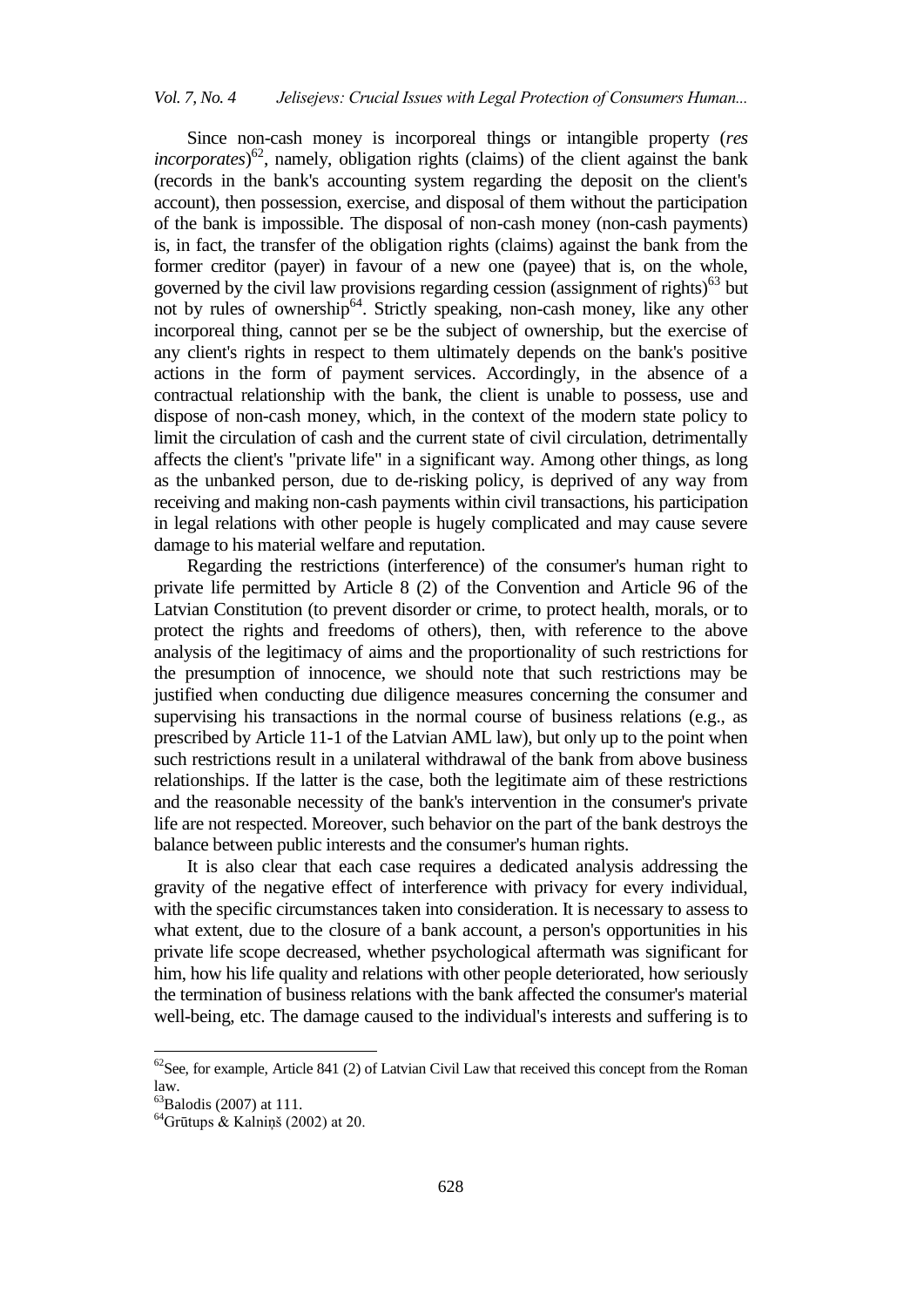Since non-cash money is incorporeal things or intangible property (*res incorporates*) <sup>62</sup>, namely, obligation rights (claims) of the client against the bank (records in the bank's accounting system regarding the deposit on the client's account), then possession, exercise, and disposal of them without the participation of the bank is impossible. The disposal of non-cash money (non-cash payments) is, in fact, the transfer of the obligation rights (claims) against the bank from the former creditor (payer) in favour of a new one (payee) that is, on the whole, governed by the civil law provisions regarding cession (assignment of rights) $63$  but not by rules of ownership<sup>64</sup>. Strictly speaking, non-cash money, like any other incorporeal thing, cannot per se be the subject of ownership, but the exercise of any client's rights in respect to them ultimately depends on the bank's positive actions in the form of payment services. Accordingly, in the absence of a contractual relationship with the bank, the client is unable to possess, use and dispose of non-cash money, which, in the context of the modern state policy to limit the circulation of cash and the current state of civil circulation, detrimentally affects the client's "private life" in a significant way. Among other things, as long as the unbanked person, due to de-risking policy, is deprived of any way from receiving and making non-cash payments within civil transactions, his participation in legal relations with other people is hugely complicated and may cause severe damage to his material welfare and reputation.

Regarding the restrictions (interference) of the consumer's human right to private life permitted by Article 8 (2) of the Convention and Article 96 of the Latvian Constitution (to prevent disorder or crime, to protect health, morals, or to protect the rights and freedoms of others), then, with reference to the above analysis of the legitimacy of aims and the proportionality of such restrictions for the presumption of innocence, we should note that such restrictions may be justified when conducting due diligence measures concerning the consumer and supervising his transactions in the normal course of business relations (e.g., as prescribed by Article 11-1 of the Latvian AML law), but only up to the point when such restrictions result in a unilateral withdrawal of the bank from above business relationships. If the latter is the case, both the legitimate aim of these restrictions and the reasonable necessity of the bank's intervention in the consumer's private life are not respected. Moreover, such behavior on the part of the bank destroys the balance between public interests and the consumer's human rights.

It is also clear that each case requires a dedicated analysis addressing the gravity of the negative effect of interference with privacy for every individual, with the specific circumstances taken into consideration. It is necessary to assess to what extent, due to the closure of a bank account, a person's opportunities in his private life scope decreased, whether psychological aftermath was significant for him, how his life quality and relations with other people deteriorated, how seriously the termination of business relations with the bank affected the consumer's material well-being, etc. The damage caused to the individual's interests and suffering is to

 $\ddot{\phantom{a}}$ 

 ${}^{62}$ See, for example, Article 841 (2) of Latvian Civil Law that received this concept from the Roman law.

 ${}^{63}$ Balodis (2007) at 111.

 $64$ Grūtups & Kalniņš (2002) at 20.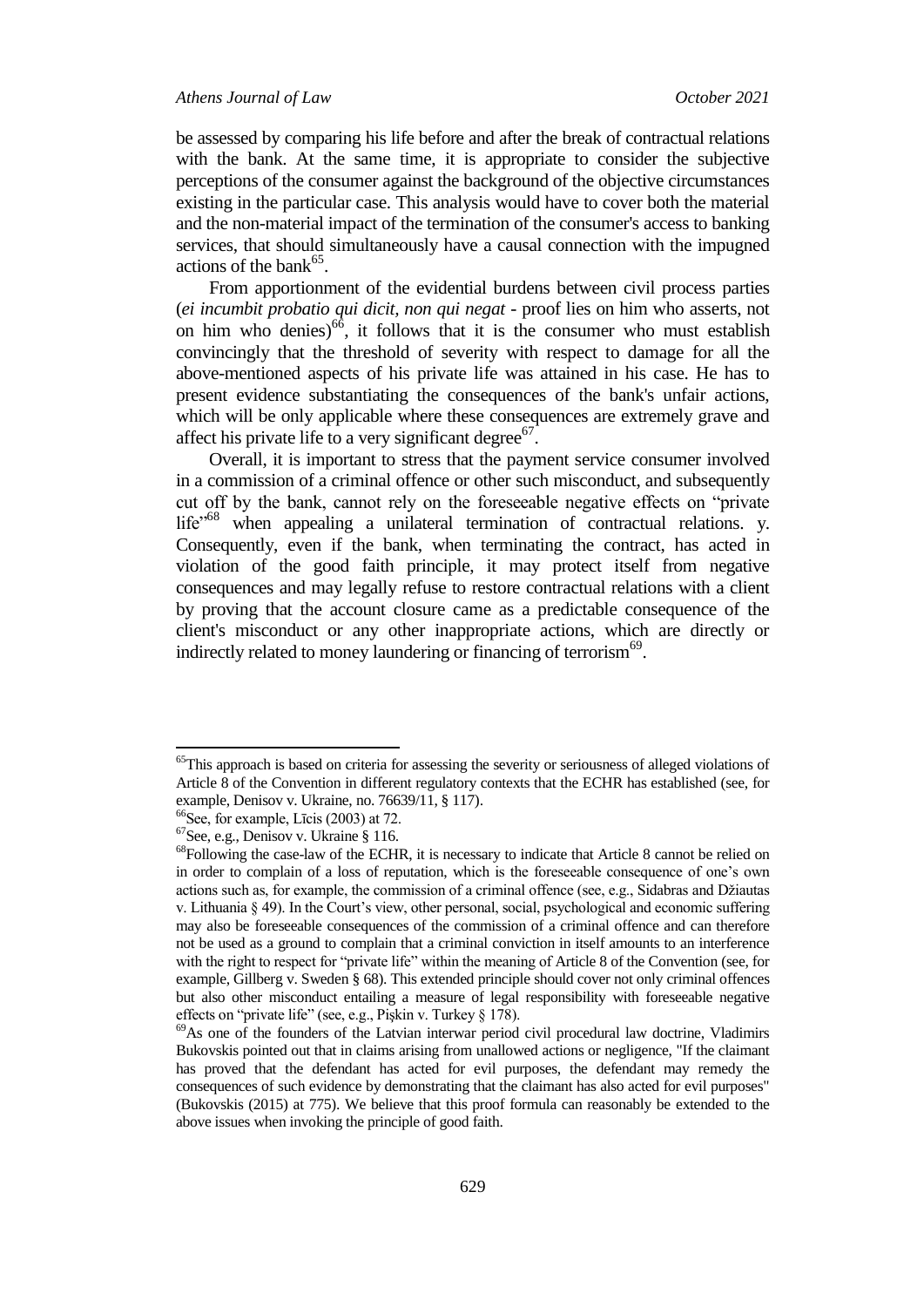be assessed by comparing his life before and after the break of contractual relations with the bank. At the same time, it is appropriate to consider the subjective perceptions of the consumer against the background of the objective circumstances existing in the particular case. This analysis would have to cover both the material and the non-material impact of the termination of the consumer's access to banking services, that should simultaneously have a causal connection with the impugned actions of the bank $65$ .

From apportionment of the evidential burdens between civil process parties (*ei incumbit probatio qui dicit, non qui negat* - proof lies on him who asserts, not on him who denies) $^{66}$ , it follows that it is the consumer who must establish convincingly that the threshold of severity with respect to damage for all the above-mentioned aspects of his private life was attained in his case. He has to present evidence substantiating the consequences of the bank's unfair actions, which will be only applicable where these consequences are extremely grave and affect his private life to a very significant degree<sup>67</sup>.

Overall, it is important to stress that the payment service consumer involved in a commission of a criminal offence or other such misconduct, and subsequently cut off by the bank, cannot rely on the foreseeable negative effects on "private life"<sup>68</sup> when appealing a unilateral termination of contractual relations. y. Consequently, even if the bank, when terminating the contract, has acted in violation of the good faith principle, it may protect itself from negative consequences and may legally refuse to restore contractual relations with a client by proving that the account closure came as a predictable consequence of the client's misconduct or any other inappropriate actions, which are directly or indirectly related to money laundering or financing of terrorism<sup>69</sup>.

<sup>&</sup>lt;sup>65</sup>This approach is based on criteria for assessing the severity or seriousness of alleged violations of Article 8 of the Convention in different regulatory contexts that the ECHR has established (see, for example, Denisov v. Ukraine, no. 76639/11, § 117).

<sup>&</sup>lt;sup>66</sup>See, for example, Līcis (2003) at 72.

<sup>67</sup>See, e.g., Denisov v. Ukraine § 116.

<sup>&</sup>lt;sup>68</sup>Following the case-law of the ECHR, it is necessary to indicate that Article 8 cannot be relied on in order to complain of a loss of reputation, which is the foreseeable consequence of one"s own actions such as, for example, the commission of a criminal offence (see, e.g., Sidabras and Džiautas v. Lithuania § 49). In the Court's view, other personal, social, psychological and economic suffering may also be foreseeable consequences of the commission of a criminal offence and can therefore not be used as a ground to complain that a criminal conviction in itself amounts to an interference with the right to respect for "private life" within the meaning of Article 8 of the Convention (see, for example, Gillberg v. Sweden § 68). This extended principle should cover not only criminal offences but also other misconduct entailing a measure of legal responsibility with foreseeable negative effects on "private life" (see, e.g., Pişkin v. Turkey § 178).

<sup>&</sup>lt;sup>69</sup>As one of the founders of the Latvian interwar period civil procedural law doctrine, Vladimirs Bukovskis pointed out that in claims arising from unallowed actions or negligence, "If the claimant has proved that the defendant has acted for evil purposes, the defendant may remedy the consequences of such evidence by demonstrating that the claimant has also acted for evil purposes" (Bukovskis (2015) at 775). We believe that this proof formula can reasonably be extended to the above issues when invoking the principle of good faith.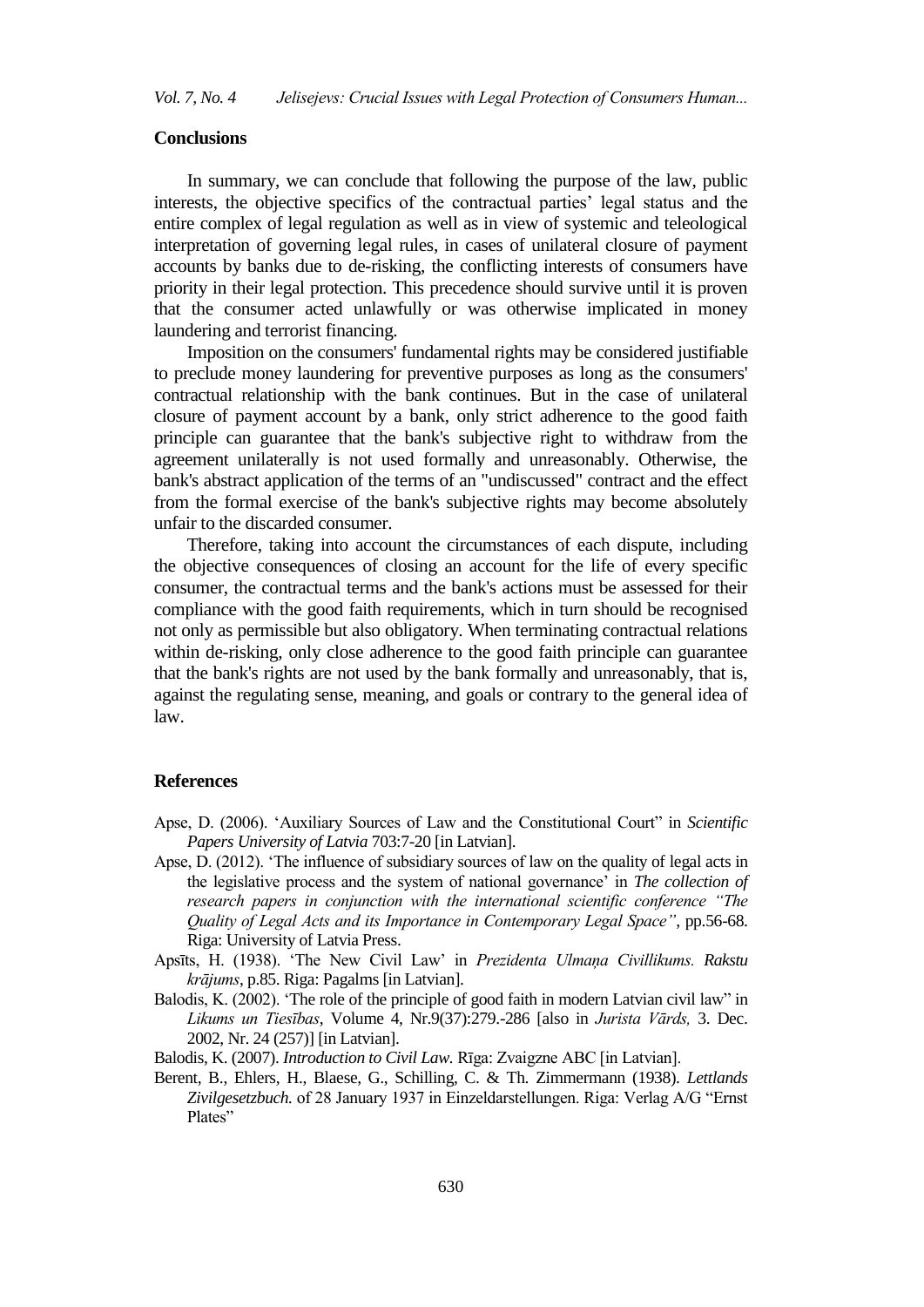## **Conclusions**

In summary, we can conclude that following the purpose of the law, public interests, the objective specifics of the contractual parties" legal status and the entire complex of legal regulation as well as in view of systemic and teleological interpretation of governing legal rules, in cases of unilateral closure of payment accounts by banks due to de-risking, the conflicting interests of consumers have priority in their legal protection. This precedence should survive until it is proven that the consumer acted unlawfully or was otherwise implicated in money laundering and terrorist financing.

Imposition on the consumers' fundamental rights may be considered justifiable to preclude money laundering for preventive purposes as long as the consumers' contractual relationship with the bank continues. But in the case of unilateral closure of payment account by a bank, only strict adherence to the good faith principle can guarantee that the bank's subjective right to withdraw from the agreement unilaterally is not used formally and unreasonably. Otherwise, the bank's abstract application of the terms of an "undiscussed" contract and the effect from the formal exercise of the bank's subjective rights may become absolutely unfair to the discarded consumer.

Therefore, taking into account the circumstances of each dispute, including the objective consequences of closing an account for the life of every specific consumer, the contractual terms and the bank's actions must be assessed for their compliance with the good faith requirements, which in turn should be recognised not only as permissible but also obligatory. When terminating contractual relations within de-risking, only close adherence to the good faith principle can guarantee that the bank's rights are not used by the bank formally and unreasonably, that is, against the regulating sense, meaning, and goals or contrary to the general idea of law.

#### **References**

- Apse, D. (2006). "Auxiliary Sources of Law and the Constitutional Court" in *Scientific Papers University of Latvia* 703:7-20 [in Latvian].
- Apse, D. (2012). "The influence of subsidiary sources of law on the quality of legal acts in the legislative process and the system of national governance" in *The collection of research papers in conjunction with the international scientific conference "The Quality of Legal Acts and its Importance in Contemporary Legal Space"*, pp.56-68. Riga: University of Latvia Press.
- Apsīts, H. (1938). "The New Civil Law" in *Prezidenta Ulmaņa Civillikums. Rakstu krājums*, p.85. Riga: Pagalms [in Latvian].
- Balodis, K. (2002). "The role of the principle of good faith in modern Latvian civil law" in *Likums un Tiesības*, Volume 4, Nr.9(37):279.-286 [also in *Jurista Vārds,* 3. Dec. 2002, Nr. 24 (257)] [in Latvian].
- Balodis, K. (2007). *Introduction to Civil Law.* Rīga: Zvaigzne ABC [in Latvian].
- Berent, B., Ehlers, H., Blaese, G., Schilling, C. & Th. Zimmermann (1938). *Lettlands Zivilgesetzbuch.* of 28 January 1937 in Einzeldarstellungen. Riga: Verlag A/G "Ernst Plates"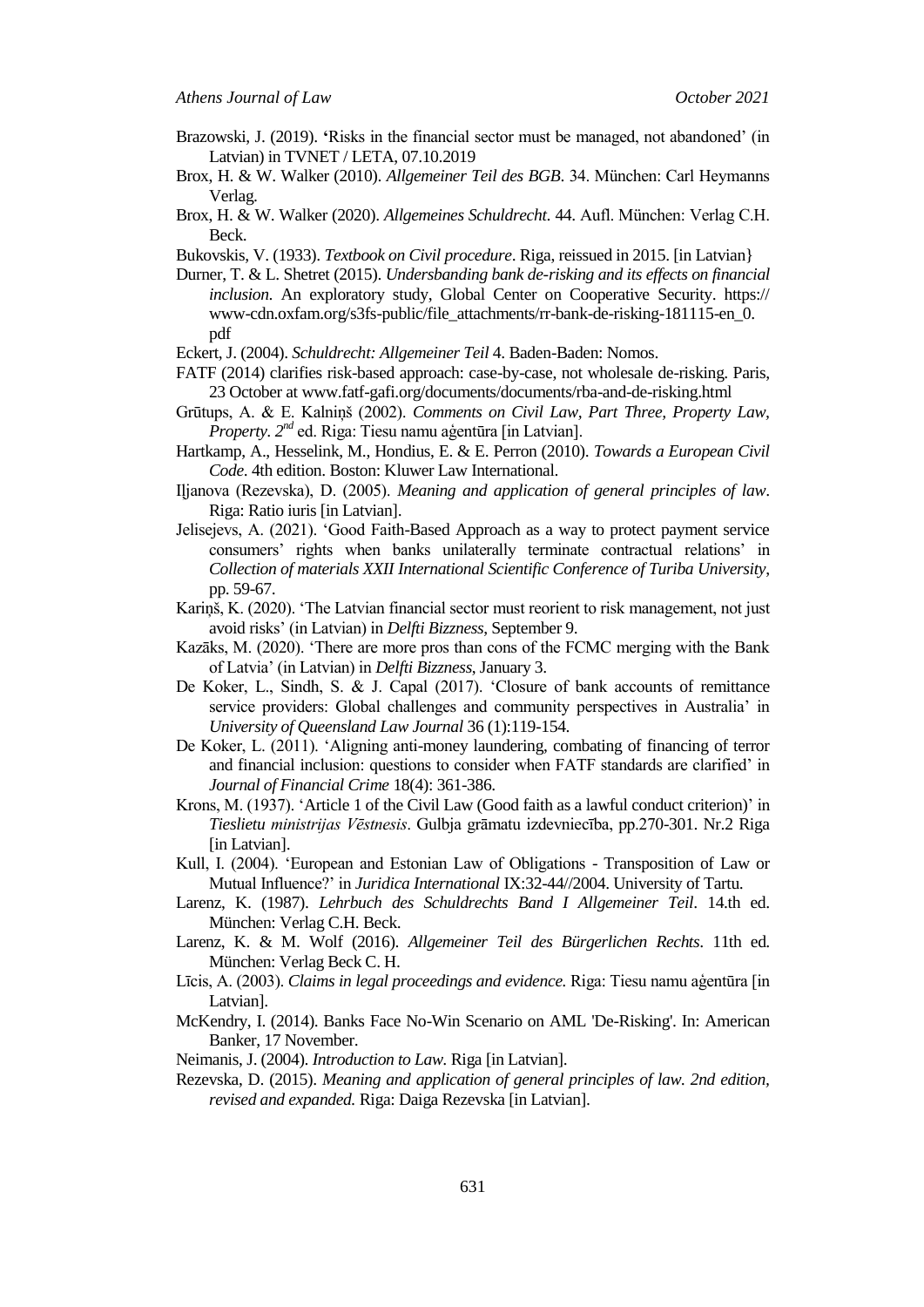- Brazowski, J. (2019). **'**Risks in the financial sector must be managed, not abandoned" (in Latvian) in TVNET / LETA, 07.10.2019
- Brox, H. & W. Walker (2010). *Allgemeiner Teil des BGB*. 34. München: Carl Heymanns Verlag.
- Brox, H. & W. Walker (2020). *Allgemeines Schuldrecht*. 44. Aufl. München: Verlag C.H. Beck.
- Bukovskis, V. (1933). *Textbook on Civil procedure*. Riga, reissued in 2015. [in Latvian}
- Durner, T. & L. Shetret (2015). *Undersbanding bank de-risking and its effects on financial inclusion*. An exploratory study, Global Center on Cooperative Security. https:// www-cdn.oxfam.org/s3fs-public/file\_attachments/rr-bank-de-risking-181115-en\_0. pdf
- Eckert, J. (2004). *Schuldrecht: Allgemeiner Teil* 4. Baden-Baden: Nomos.
- FATF (2014) clarifies risk-based approach: case-by-case, not wholesale de-risking. Paris, 23 October at www.fatf-gafi.org/documents/documents/rba-and-de-risking.html
- Grūtups, A. & E. Kalniņš (2002). *Comments on Civil Law, Part Three, Property Law, Property. 2nd* ed. Riga: Tiesu namu aģentūra [in Latvian].
- Hartkamp, A., Hesselink, M., Hondius, E. & E. Perron (2010). *Towards a European Civil Code*. 4th edition. Boston: Kluwer Law International.
- Iļjanova (Rezevska), D. (2005). *Meaning and application of general principles of law*. Riga: Ratio iuris [in Latvian].
- Jelisejevs, A. (2021). "Good Faith-Based Approach as a way to protect payment service consumers" rights when banks unilaterally terminate contractual relations" in *Collection of materials XXII International Scientific Conference of Turiba University*, pp. 59-67.
- Kariņš, K. (2020). "The Latvian financial sector must reorient to risk management, not just avoid risks" (in Latvian) in *Delfti Bizzness*, September 9.
- Kazāks, M. (2020). "There are more pros than cons of the FCMC merging with the Bank of Latvia" (in Latvian) in *Delfti Bizzness*, January 3.
- De Koker, L., Sindh, S. & J. Capal (2017). "Closure of bank accounts of remittance service providers: Global challenges and community perspectives in Australia' in *University of Queensland Law Journal* 36 (1):119-154.
- De Koker, L. (2011). "Aligning anti-money laundering, combating of financing of terror and financial inclusion: questions to consider when FATF standards are clarified" in *Journal of Financial Crime* 18(4): 361-386.
- Krons, M. (1937). "Article 1 of the Civil Law (Good faith as a lawful conduct criterion)" in *Tieslietu ministrijas Vēstnesis*. Gulbja grāmatu izdevniecība, pp.270-301. Nr.2 Riga [in Latvian].
- Kull, I. (2004). "European and Estonian Law of Obligations Transposition of Law or Mutual Influence?" in *Juridica International* IX:32-44//2004. University of Tartu.
- Larenz, K. (1987). *Lehrbuch des Schuldrechts Band I Allgemeiner Teil*. 14.th ed. München: Verlag C.H. Beck.
- Larenz, K. & M. Wolf (2016). *Allgemeiner Teil des Bürgerlichen Rechts*. 11th ed. München: Verlag Beck C. H.
- Līcis, A. (2003). *Claims in legal proceedings and evidence.* Riga: Tiesu namu aģentūra [in Latvian].
- McKendry, I. (2014). Banks Face No-Win Scenario on AML 'De-Risking'. In: American Banker, 17 November.
- Neimanis, J. (2004). *Introduction to Law.* Riga [in Latvian].
- Rezevska, D. (2015). *Meaning and application of general principles of law. 2nd edition, revised and expanded.* Riga: Daiga Rezevska [in Latvian].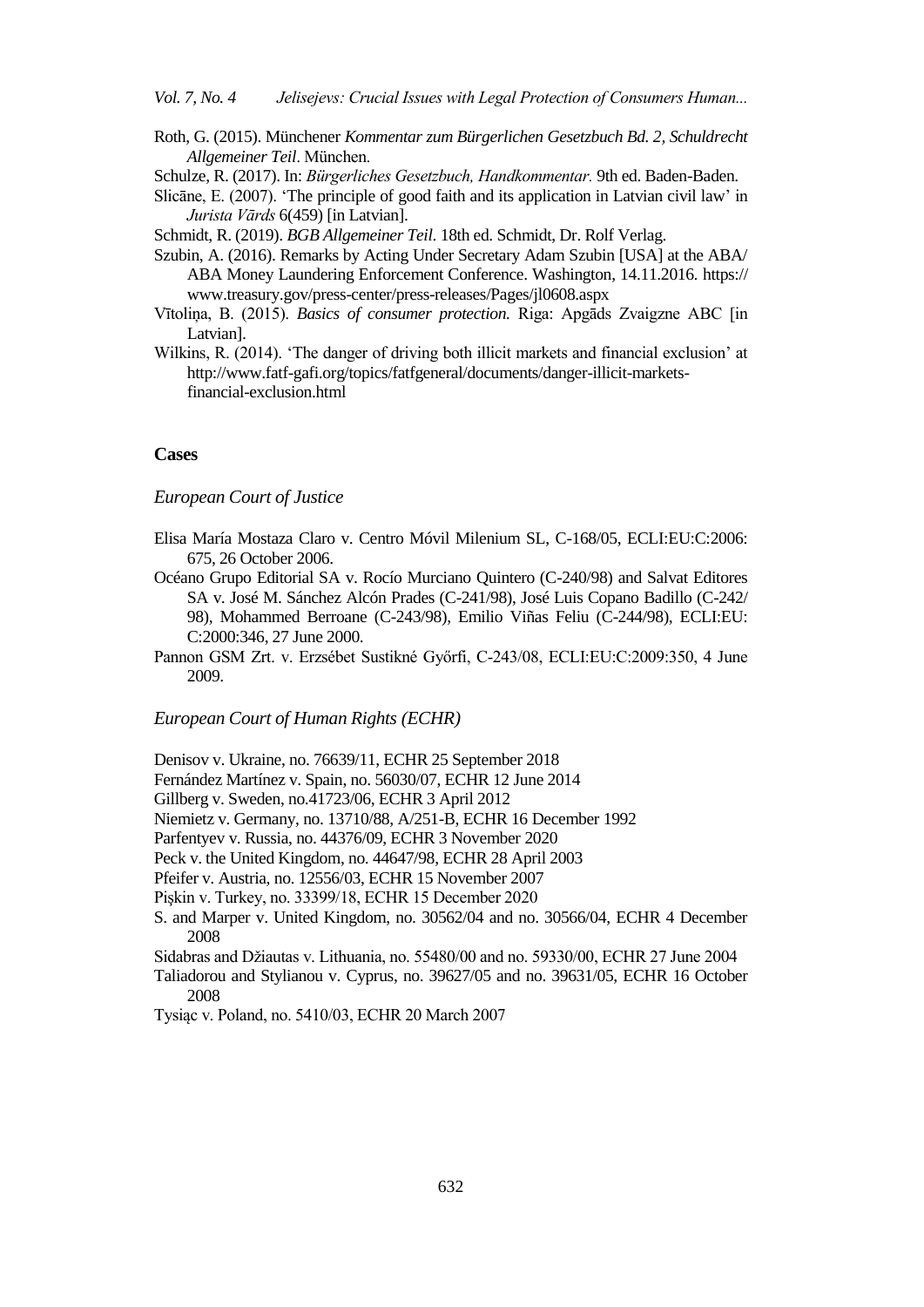- Roth, G. (2015). Münchener *Kommentar zum Bürgerlichen Gesetzbuch Bd. 2, Schuldrecht Allgemeiner Teil.* München.
- Schulze, R. (2017). In: *Bürgerliches Gesetzbuch, Handkommentar*. 9th ed. Baden-Baden.
- Slicāne, E. (2007). "The principle of good faith and its application in Latvian civil law" in *Jurista Vārds* 6(459) [in Latvian].

Schmidt, R. (2019). *BGB Allgemeiner Teil*. 18th ed. Schmidt, Dr. Rolf Verlag.

- Szubin, A. (2016). Remarks by Acting Under Secretary Adam Szubin [USA] at the ABA/ ABA Money Laundering Enforcement Conference. Washington, 14.11.2016. https:// www.treasury.gov/press-center/press-releases/Pages/jl0608.aspx
- Vītoliņa, B. (2015). *Basics of consumer protection.* Riga: Apgāds Zvaigzne ABC [in Latvian].
- Wilkins, R. (2014). 'The danger of driving both illicit markets and financial exclusion' at http://www.fatf-gafi.org/topics/fatfgeneral/documents/danger-illicit-marketsfinancial-exclusion.html

# **Cases**

*European Court of Justice*

- Elisa María Mostaza Claro v. Centro Móvil Milenium SL, C-168/05, ECLI:EU:C:2006: 675, 26 October 2006.
- Océano Grupo Editorial SA v. Rocío Murciano Quintero (C-240/98) and Salvat Editores SA v. José M. Sánchez Alcón Prades (C-241/98), José Luis Copano Badillo (C-242/ 98), Mohammed Berroane (C-243/98), Emilio Viñas Feliu (C-244/98), ECLI:EU: C:2000:346, 27 June 2000.
- Pannon GSM Zrt. v. Erzsébet Sustikné Győrfi, C‑243/08, ECLI:EU:C:2009:350, 4 June 2009.

#### *European Court of Human Rights (ECHR)*

Denisov v. Ukraine, no. 76639/11, ECHR 25 September 2018

- Fernández Martínez v. Spain, no. 56030/07, ECHR 12 June 2014
- Gillberg v. Sweden, no.41723/06, ECHR 3 April 2012

Niemietz v. Germany, no. 13710/88, A/251-B, ECHR 16 December 1992

Parfentyev v. Russia, no. 44376/09, ECHR 3 November 2020

Peck v. the United Kingdom, no. 44647/98, ECHR 28 April 2003

Pfeifer v. Austria, no. 12556/03, ECHR 15 November 2007

Pişkin v. Turkey, no. 33399/18, ECHR 15 December 2020

S. and Marper v. United Kingdom, no. 30562/04 and no. 30566/04, ECHR 4 December 2008

Sidabras and Džiautas v. Lithuania, no. 55480/00 and no. 59330/00, ECHR 27 June 2004

Taliadorou and Stylianou v. Cyprus, no. 39627/05 and no. 39631/05, ECHR 16 October 2008

Tysiąc v. Poland, no. 5410/03, ECHR 20 March 2007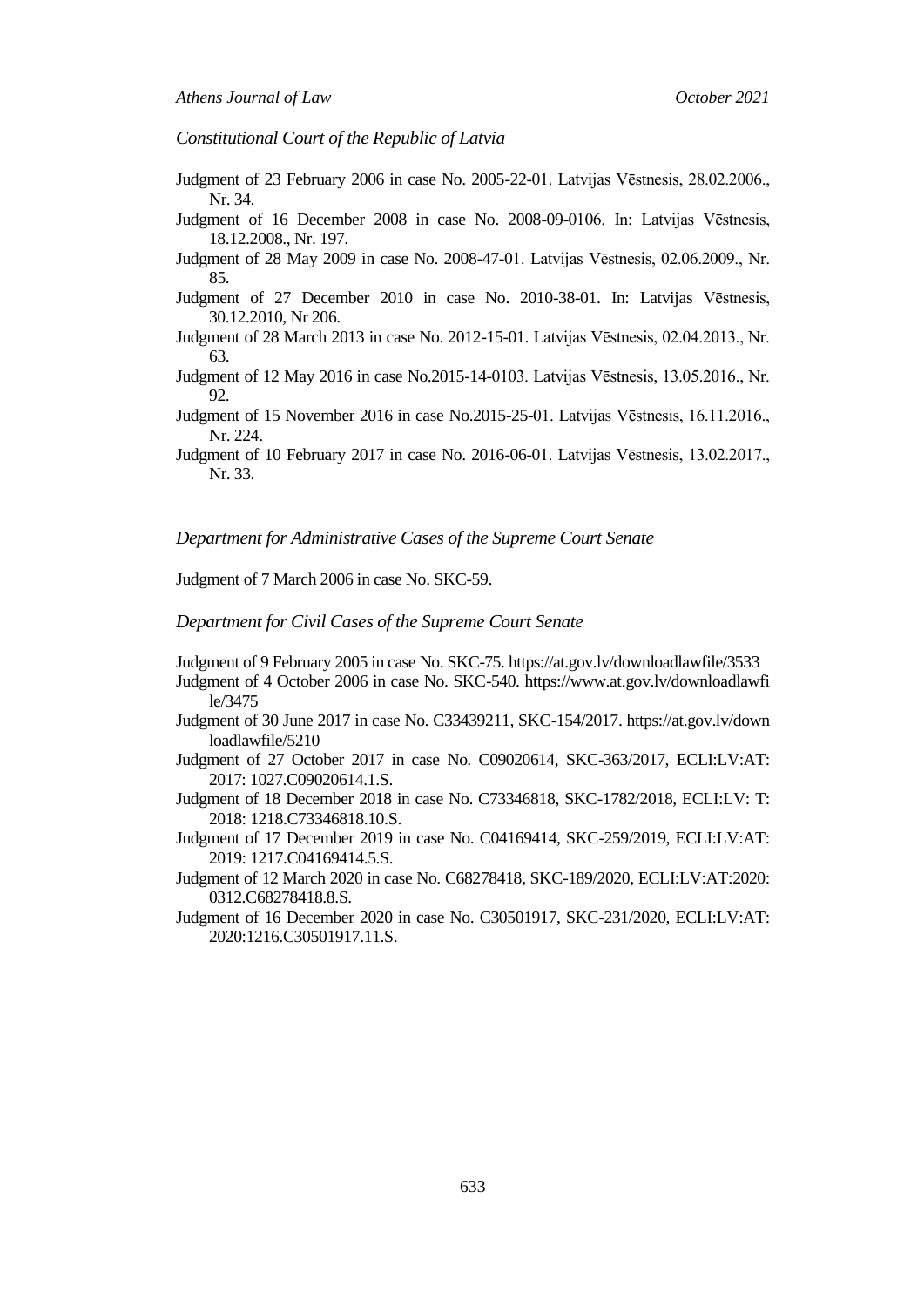# *Constitutional Court of the Republic of Latvia*

- Judgment of 23 February 2006 in case No. 2005-22-01. Latvijas Vēstnesis, 28.02.2006., Nr. 34.
- Judgment of 16 December 2008 in case No. 2008-09-0106. In: Latvijas Vēstnesis, 18.12.2008., Nr. 197.
- Judgment of 28 May 2009 in case No. 2008-47-01. Latvijas Vēstnesis, 02.06.2009., Nr. 85.
- Judgment of 27 December 2010 in case No. 2010-38-01. In: Latvijas Vēstnesis, 30.12.2010, Nr 206.
- Judgment of 28 March 2013 in case No. 2012-15-01. Latvijas Vēstnesis, 02.04.2013., Nr. 63.
- Judgment of 12 May 2016 in case No.2015-14-0103. Latvijas Vēstnesis, 13.05.2016., Nr. 92.
- Judgment of 15 November 2016 in case No.2015-25-01. Latvijas Vēstnesis, 16.11.2016., Nr. 224.
- Judgment of 10 February 2017 in case No. 2016-06-01. Latvijas Vēstnesis, 13.02.2017., Nr. 33.

#### *Department for Administrative Cases of the Supreme Court Senate*

Judgment of 7 March 2006 in case No. SKC-59.

#### *Department for Civil Cases of the Supreme Court Senate*

- Judgment of 9 February 2005 in case No. SKC-75. https://at.gov.lv/downloadlawfile/3533
- Judgment of 4 October 2006 in case No. SKC-540. https://www.at.gov.lv/downloadlawfi le/3475
- Judgment of 30 June 2017 in case No. C33439211, SKC-154/2017. https://at.gov.lv/down loadlawfile/5210
- Judgment of 27 October 2017 in case No. C09020614, SKC-363/2017, ECLI:LV:AT: 2017: 1027.C09020614.1.S.
- Judgment of 18 December 2018 in case No. C73346818, SKC-1782/2018, ECLI:LV: T: 2018: 1218.C73346818.10.S.
- Judgment of 17 December 2019 in case No. C04169414, SKC-259/2019, ECLI:LV:AT: 2019: 1217.C04169414.5.S.
- Judgment of 12 March 2020 in case No. C68278418, SKC-189/2020, ECLI:LV:AT:2020: 0312.C68278418.8.S.
- Judgment of 16 December 2020 in case No. C30501917, SKC-231/2020, ECLI:LV:AT: 2020:1216.C30501917.11.S.